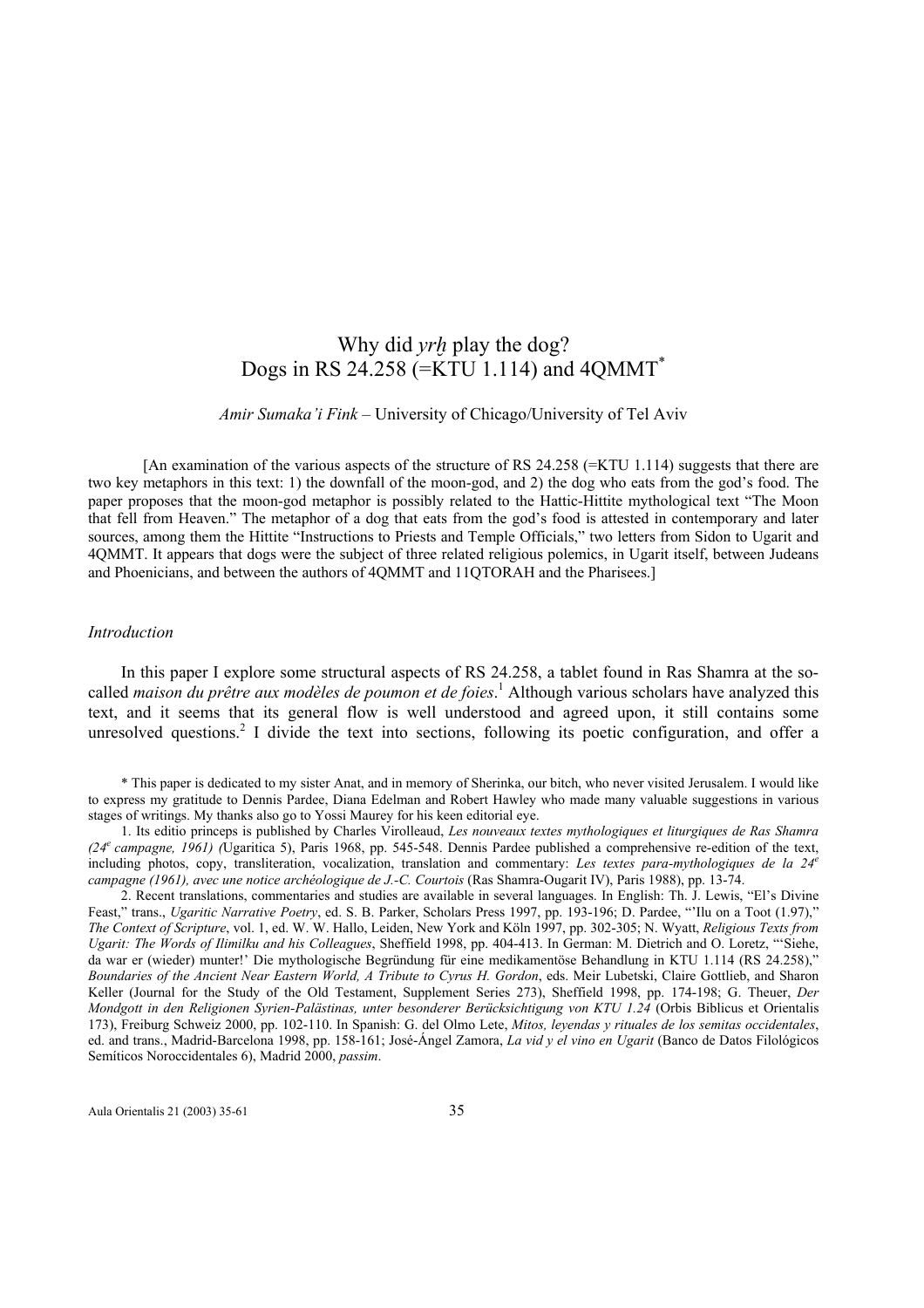# Why did *yrh* play the dog? Dogs in RS 24.258 (=KTU 1.114) and 4QMMT\*

*Amir Sumaka'i Fink* – University of Chicago/University of Tel Aviv

[An examination of the various aspects of the structure of RS 24.258 (=KTU 1.114) suggests that there are two key metaphors in this text: 1) the downfall of the moon-god, and 2) the dog who eats from the god's food. The paper proposes that the moon-god metaphor is possibly related to the Hattic-Hittite mythological text "The Moon that fell from Heaven." The metaphor of a dog that eats from the god's food is attested in contemporary and later sources, among them the Hittite "Instructions to Priests and Temple Officials," two letters from Sidon to Ugarit and 4QMMT. It appears that dogs were the subject of three related religious polemics, in Ugarit itself, between Judeans and Phoenicians, and between the authors of 4QMMT and 11QTORAH and the Pharisees.]

#### *Introduction*

 In this paper I explore some structural aspects of RS 24.258, a tablet found in Ras Shamra at the socalled *maison du prêtre aux modèles de poumon et de foies*. 1 Although various scholars have analyzed this text, and it seems that its general flow is well understood and agreed upon, it still contains some unresolved questions.<sup>2</sup> I divide the text into sections, following its poetic configuration, and offer a

\* This paper is dedicated to my sister Anat, and in memory of Sherinka, our bitch, who never visited Jerusalem. I would like to express my gratitude to Dennis Pardee, Diana Edelman and Robert Hawley who made many valuable suggestions in various stages of writings. My thanks also go to Yossi Maurey for his keen editorial eye.

1. Its editio princeps is published by Charles Virolleaud, *Les nouveaux textes mythologiques et liturgiques de Ras Shamra (24e campagne, 1961) (*Ugaritica 5), Paris 1968, pp. 545-548. Dennis Pardee published a comprehensive re-edition of the text, including photos, copy, transliteration, vocalization, translation and commentary: *Les textes para-mythologiques de la 24<sup>e</sup> campagne (1961), avec une notice archéologique de J.-C. Courtois* (Ras Shamra-Ougarit IV), Paris 1988), pp. 13-74.

2. Recent translations, commentaries and studies are available in several languages. In English: Th. J. Lewis, "El's Divine Feast," trans., *Ugaritic Narrative Poetry*, ed. S. B. Parker, Scholars Press 1997, pp. 193-196; D. Pardee, "'Ilu on a Toot (1.97)," *The Context of Scripture*, vol. 1, ed. W. W. Hallo, Leiden, New York and Köln 1997, pp. 302-305; N. Wyatt, *Religious Texts from Ugarit: The Words of Ilimilku and his Colleagues*, Sheffield 1998, pp. 404-413. In German: M. Dietrich and O. Loretz, "'Siehe, da war er (wieder) munter!' Die mythologische Begründung für eine medikamentöse Behandlung in KTU 1.114 (RS 24.258)," *Boundaries of the Ancient Near Eastern World, A Tribute to Cyrus H. Gordon*, eds. Meir Lubetski, Claire Gottlieb, and Sharon Keller (Journal for the Study of the Old Testament, Supplement Series 273), Sheffield 1998, pp. 174-198; G. Theuer, *Der Mondgott in den Religionen Syrien-Palästinas, unter besonderer Berücksichtigung von KTU 1.24* (Orbis Biblicus et Orientalis 173), Freiburg Schweiz 2000, pp. 102-110. In Spanish: G. del Olmo Lete, *Mitos, leyendas y rituales de los semitas occidentales*, ed. and trans., Madrid-Barcelona 1998, pp. 158-161; José-Ángel Zamora, *La vid y el vino en Ugarit* (Banco de Datos Filológicos Semíticos Noroccidentales 6), Madrid 2000, *passim*.

Aula Orientalis 21 (2003) 35-61 35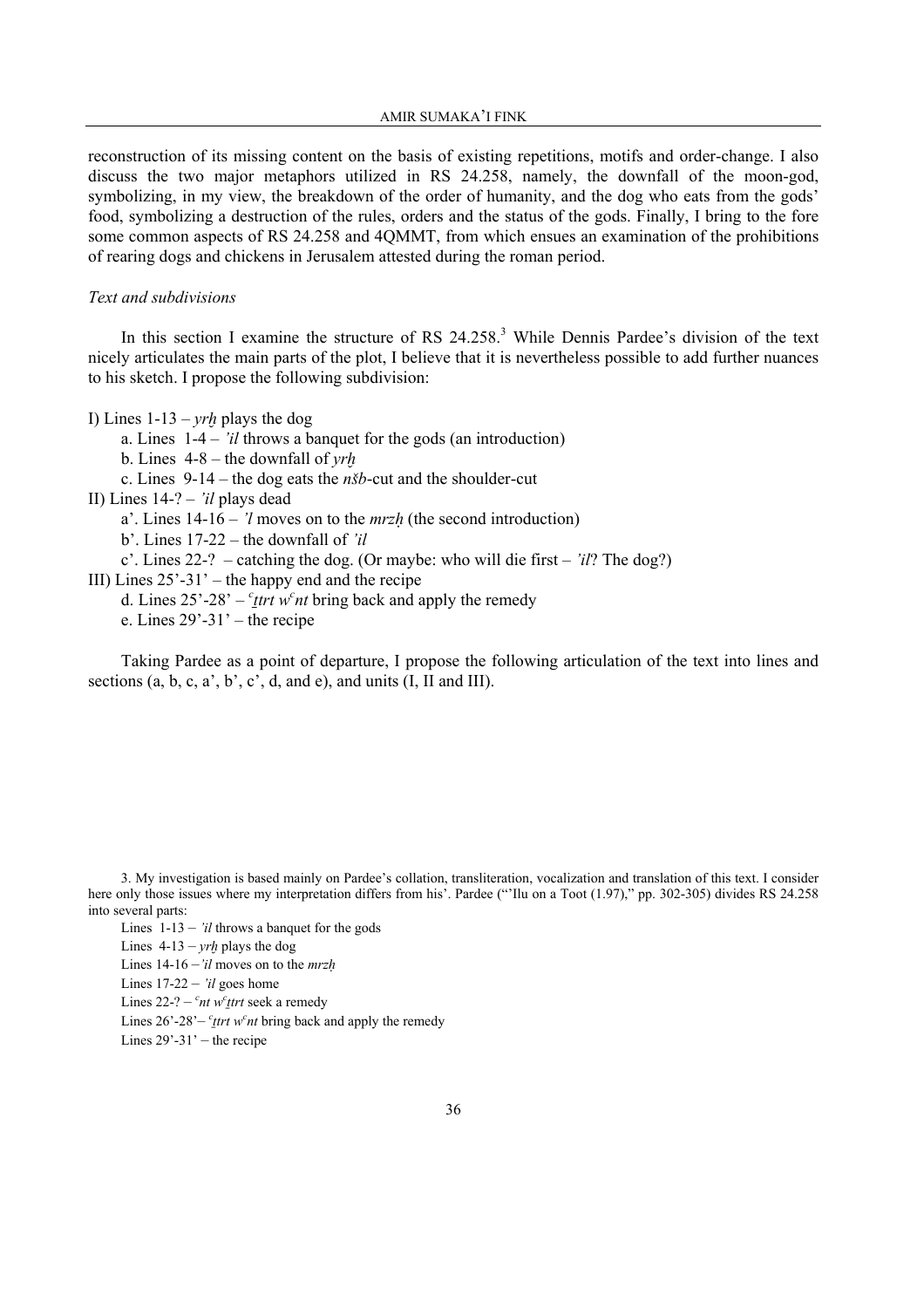reconstruction of its missing content on the basis of existing repetitions, motifs and order-change. I also discuss the two major metaphors utilized in RS 24.258, namely, the downfall of the moon-god, symbolizing, in my view, the breakdown of the order of humanity, and the dog who eats from the gods' food, symbolizing a destruction of the rules, orders and the status of the gods. Finally, I bring to the fore some common aspects of RS 24.258 and 4QMMT, from which ensues an examination of the prohibitions of rearing dogs and chickens in Jerusalem attested during the roman period.

### *Text and subdivisions*

In this section I examine the structure of RS 24.258.<sup>3</sup> While Dennis Pardee's division of the text nicely articulates the main parts of the plot, I believe that it is nevertheless possible to add further nuances to his sketch. I propose the following subdivision:

I) Lines  $1-13 - yrh$  plays the dog

a. Lines 1-4 – *'il* throws a banquet for the gods (an introduction)

b. Lines 4-8 – the downfall of *yr≠*

c. Lines 9-14 – the dog eats the *n'b*-cut and the shoulder-cut

II) Lines 14-? – *'il* plays dead

a'. Lines 14-16 – *'l* moves on to the *mrzú* (the second introduction)

b'. Lines 17-22 – the downfall of *'il* 

c'. Lines 22-? – catching the dog. (Or maybe: who will die first – *'il*? The dog?)

III) Lines  $25' - 31'$  – the happy end and the recipe

d. Lines  $25^{\degree}$ -28' – <sup>c</sup><sub>ttrt</sub> w<sup>c</sup><sub>nt</sub> bring back and apply the remedy

e. Lines  $29' - 31'$  – the recipe

 Taking Pardee as a point of departure, I propose the following articulation of the text into lines and sections  $(a, b, c, a', b', c', d, and e)$ , and units  $(I, II, and III)$ .

Lines  $1-13 - i*il*$  throws a banquet for the gods

Lines  $4-13 - vrh$  plays the dog

Lines 14-16 –*'il* moves on to the *mrzú*

Lines 17-22 – *'il* goes home

Lines 22-? – <sup>*c*</sup>nt w<sup>*c*</sup><sub>*t*trt</sub> seek a remedy

Lines  $26^{\degree}$ - $28^{\degree}$  – *<sup>c</sup>*<sub>*ttrt w<sup>c</sup>nt*</sub> bring back and apply the remedy

Lines  $29' - 31'$  – the recipe

<sup>3.</sup> My investigation is based mainly on Pardee's collation, transliteration, vocalization and translation of this text. I consider here only those issues where my interpretation differs from his'. Pardee ("'Ilu on a Toot (1.97)," pp. 302-305) divides RS 24.258 into several parts: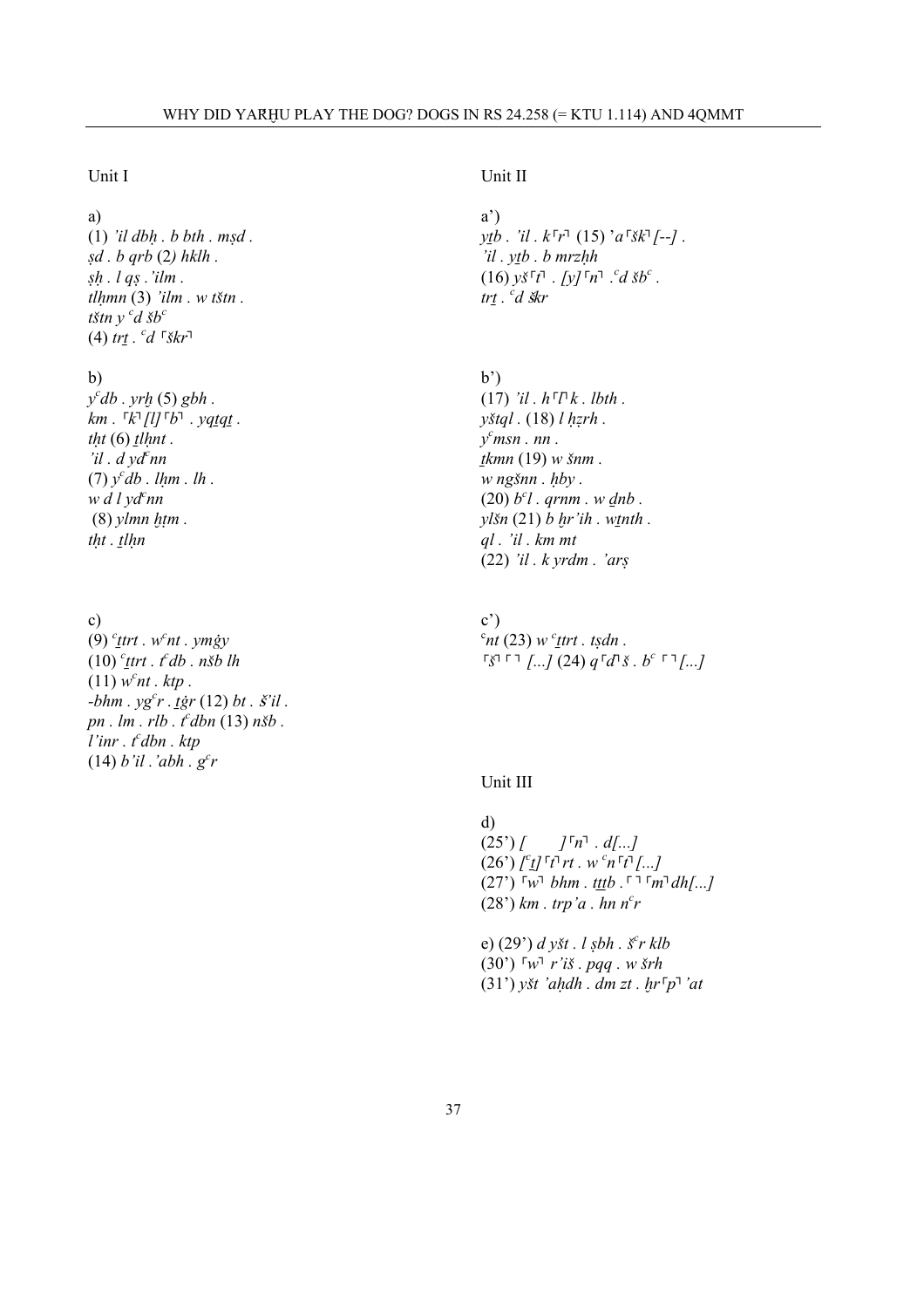## Unit I

# a)

(1) *'il dbú . b bth . m§d . §d . b qrb* (2*) hklh . §ú . l q§ .'ilm . tlúmn* (3) *'ilm . w t'tn .*   $t$ *štn y <sup><i>c*</sup>*d šb<sup>c</sup>*  $(4)$   $tr\underline{t}$  .  $^{c}d$   $\sqrt{r}$ 

## b)

*y c db . yr≠* (5) *gbh . km . ┌k ┐[l]┌b┐ . yq¨q¨ . (6)*  $*tlhnt*$ *. 'il . d yd<sup>c</sup> nn*   $(7)$   $y^c$ *db* . *lhm* . *lh*. *w d l yd<sup>c</sup> nn*  $(8)$  *ylmn htm*. *tht* . *tlhn* 

c)  $(9)$  <sup>*c*</sup><sub>*t*trt . w<sup>*c*</sup>nt . ymgy</sub> (10) *<sup>c</sup> ¨trt . tc db . n'b lh*  $(11)$   $w<sup>c</sup>$ *nt* . *ktp* .  $-bhm \cdot yg^c r \cdot \vec{l}$ *g*<sup>*r*</sup> (12) *bt . §'il . pn . lm . rlb . tc dbn* (13) *n'b . l'inr . t<sup>c</sup> dbn . ktp*  $(14) b'il'.'abh. g<sup>c</sup>r$ 

# Unit II

a') *y*<sup>*tb*</sup> . '*il* . *k*<sup>*Γr*<sup> $₁$ </sup> (15) '*a*<sup>*Γ*</sup>*šk*<sup> $₁$ </sup>*[--]* .</sup> *'il . y¨b . b mrzúh*   $(16)$   $y\check{S}^{\dagger}t^{\dagger}$  .  $[y]^{\dagger}n^{\dagger}$  .  $^{c}d\check{S}b^{c}$  . *tr¨ . <sup>c</sup> d* s*kr* 

### $b^{\prime}$

 $(17)$  *'il*.  $h \Gamma \Gamma k$ . *lbth*. *y*<sup>*x*</sup>*tql* . (18) *l hzrh* . *y c msn . nn . ¨kmn* (19) *w 'nm . w ng'nn . úby .*   $(20)$   $b<sup>c</sup>l$ . qrnm. w <u>d</u>nb. *yl'n* (21) *b ≠r'ih . w¨nth . ql . 'il . km mt*  (22) *'il . k yrdm . 'ar§*

c')  $\int^c$ *nt* (23) *w* <sup>*c*</sup><sub>*ttrt at sdn at*</sub> *┌ ' ┐┌ ┐ [...]* (24) *q┌ d┐ ' . bc ┌ ┐ [...]*

#### Unit III

d)  $(25')/$ *n┐ . d[...]*   $(26')$   $\int^c_1 f \cdot d\tau$  *rt* . w <sup>*c*</sup>  $n \cdot d \cdot$  *[...]*  $(27')$   $\lceil w \rceil$  *bhm* . t<u>tt</u>b .  $\lceil \lceil \sqrt{m} \rceil$  *dh[...]*  $(28)$  km  $k$  *trp'a*  $k$  hn  $n<sup>c</sup>r$ 

e) (29') *d y't . l §bh . ' c r klb* (30') ┌ *w┐ r'i' . pqq . w 'rh*   $(31')$  *y*<sup>*st 'ahdh* . *dm zt . br*<sup> $\lceil p \rceil$  *'at*</sup></sup>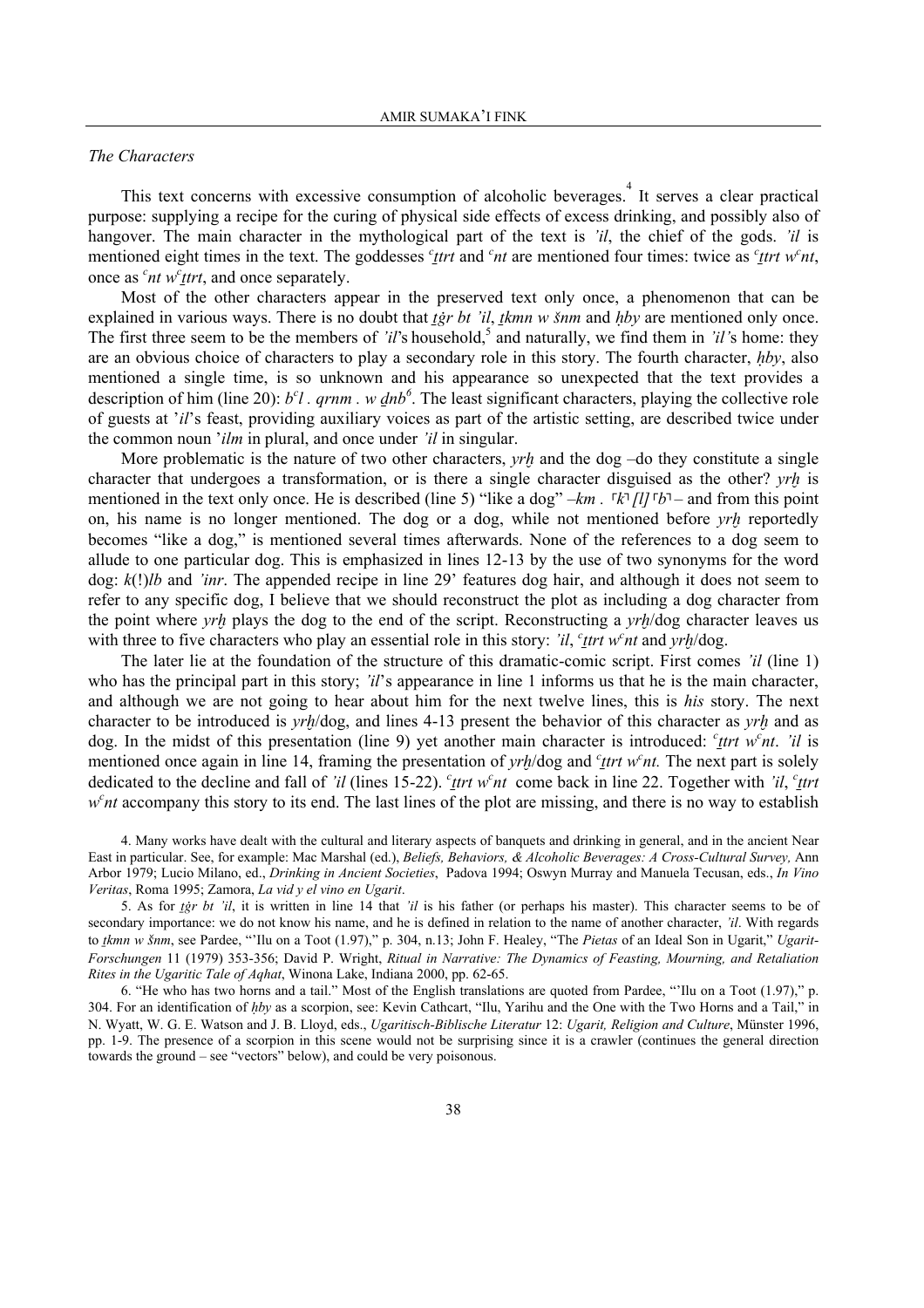#### *The Characters*

This text concerns with excessive consumption of alcoholic beverages. It serves a clear practical purpose: supplying a recipe for the curing of physical side effects of excess drinking, and possibly also of hangover. The main character in the mythological part of the text is *'il*, the chief of the gods. *'il* is mentioned eight times in the text. The goddesses  $c$ <sup>*thent*</sup> and  $c$ <sup>*nt*</sup> are mentioned four times: twice as  $c$ <sup>*thent*</sup> w<sup>*c*</sup>*nt*, once as  $\int^c$  *nt* w<sup>*c*</sup><sub>*ttrt*, and once separately.</sub>

 Most of the other characters appear in the preserved text only once, a phenomenon that can be explained in various ways. There is no doubt that *ter bt 'il, tkmn w šnm* and *hby* are mentioned only once. The first three seem to be the members of *'il's* household,<sup>5</sup> and naturally, we find them in *'il's* home: they are an obvious choice of characters to play a secondary role in this story. The fourth character, *úby*, also mentioned a single time, is so unknown and his appearance so unexpected that the text provides a description of him (line 20):  $b^c l$ . *qrnm*. w *dnb*<sup>6</sup>. The least significant characters, playing the collective role of guests at '*il*'s feast, providing auxiliary voices as part of the artistic setting, are described twice under the common noun '*ilm* in plural, and once under *'il* in singular.

More problematic is the nature of two other characters, *yrh* and the dog –do they constitute a single character that undergoes a transformation, or is there a single character disguised as the other? *yr≠* is mentioned in the text only once. He is described (line 5) "like a dog" –*km* . <sup>*Γk*</sup> [*l]* <sup>Γ</sup>*b*<sup></sup>*λ* – and from this point on, his name is no longer mentioned. The dog or a dog, while not mentioned before *yr≠* reportedly becomes "like a dog," is mentioned several times afterwards. None of the references to a dog seem to allude to one particular dog. This is emphasized in lines 12-13 by the use of two synonyms for the word dog: *k*(!)*lb* and *'inr*. The appended recipe in line 29' features dog hair, and although it does not seem to refer to any specific dog, I believe that we should reconstruct the plot as including a dog character from the point where *yrh* plays the dog to the end of the script. Reconstructing a *yrh*/dog character leaves us with three to five characters who play an essential role in this story: *'il*, *c*<sub>*t*</sub>*trt w°nt* and *yrh*/dog.

 The later lie at the foundation of the structure of this dramatic-comic script. First comes *'il* (line 1) who has the principal part in this story; 'il's appearance in line 1 informs us that he is the main character, and although we are not going to hear about him for the next twelve lines, this is *his* story. The next character to be introduced is *yrh*/dog, and lines 4-13 present the behavior of this character as *yrh* and as dog. In the midst of this presentation (line 9) yet another main character is introduced: *<sup>c</sup>*<sub>ttrt</sub> w<sup>c</sup><sub>nt</sub>. 'il is mentioned once again in line 14, framing the presentation of *yrh*/dog and  $c$ <sup>*t*</sup>*trt* w<sup>*c*</sup><sub>*nt*</sub>. The next part is solely dedicated to the decline and fall of *'il* (lines 15-22). *<sup>c</sup>*<sub>*ttrt*</sub> w<sup>*c*</sup><sub>*nt*</sub> come back in line 22. Together with *'il*, *<sup>c</sup>*<sub>*ttrt*</sub> *w<sup>c</sup>nt* accompany this story to its end. The last lines of the plot are missing, and there is no way to establish

4. Many works have dealt with the cultural and literary aspects of banquets and drinking in general, and in the ancient Near East in particular. See, for example: Mac Marshal (ed.), *Beliefs, Behaviors, & Alcoholic Beverages: A Cross-Cultural Survey,* Ann Arbor 1979; Lucio Milano, ed., *Drinking in Ancient Societies*, Padova 1994; Oswyn Murray and Manuela Tecusan, eds., *In Vino Veritas*, Roma 1995; Zamora, *La vid y el vino en Ugarit*.

5. As for *tgr bt 'il*, it is written in line 14 that *'il* is his father (or perhaps his master). This character seems to be of secondary importance: we do not know his name, and he is defined in relation to the name of another character, *'il*. With regards to *tkmn w šnm*, see Pardee, "Ilu on a Toot (1.97)," p. 304, n.13; John F. Healey, "The *Pietas* of an Ideal Son in Ugarit," *Ugarit*-*Forschungen* 11 (1979) 353-356; David P. Wright, *Ritual in Narrative: The Dynamics of Feasting, Mourning, and Retaliation Rites in the Ugaritic Tale of Aqhat*, Winona Lake, Indiana 2000, pp. 62-65.

6. "He who has two horns and a tail." Most of the English translations are quoted from Pardee, "'Ilu on a Toot (1.97)," p. 304. For an identification of *úby* as a scorpion, see: Kevin Cathcart, "Ilu, Yarihu and the One with the Two Horns and a Tail," in N. Wyatt, W. G. E. Watson and J. B. Lloyd, eds., *Ugaritisch-Biblische Literatur* 12: *Ugarit, Religion and Culture*, Münster 1996, pp. 1-9. The presence of a scorpion in this scene would not be surprising since it is a crawler (continues the general direction towards the ground – see "vectors" below), and could be very poisonous.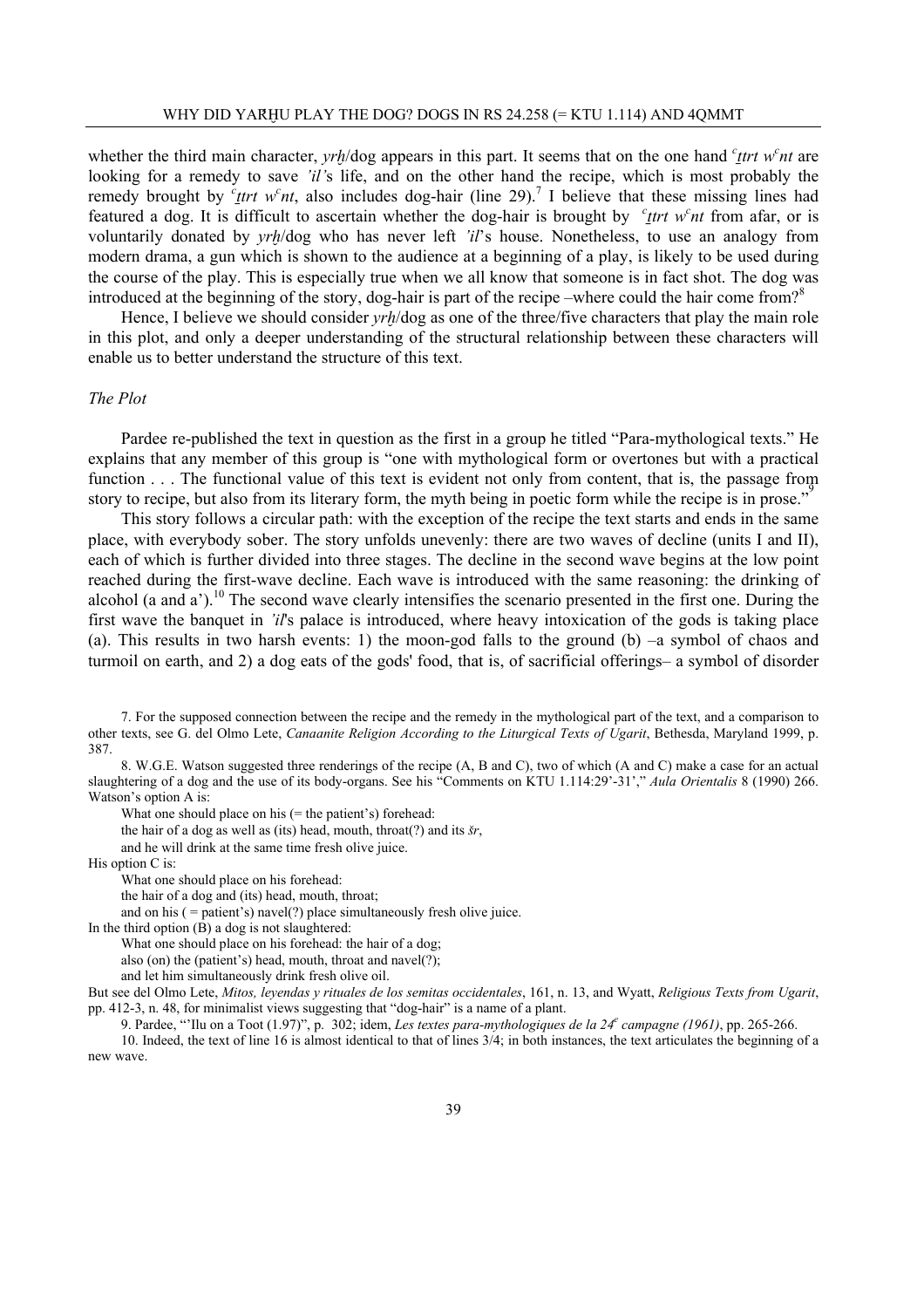whether the third main character, *yrh*/dog appears in this part. It seems that on the one hand *<sup>c</sup>*<sub>Itrt</sub> w<sup>c</sup><sub>nt</sub> are looking for a remedy to save *'il'*s life, and on the other hand the recipe, which is most probably the remedy brought by  $\frac{c_{t}}{t}$  w<sup>c</sup> *nt*, also includes dog-hair (line 29).<sup>7</sup> I believe that these missing lines had featured a dog. It is difficult to ascertain whether the dog-hair is brought by  $c$ <sup>*ttrt w°nt* from afar, or is</sup> voluntarily donated by *yrh*/dog who has never left 'il's house. Nonetheless, to use an analogy from modern drama, a gun which is shown to the audience at a beginning of a play, is likely to be used during the course of the play. This is especially true when we all know that someone is in fact shot. The dog was introduced at the beginning of the story, dog-hair is part of the recipe –where could the hair come from?<sup>8</sup>

 Hence, I believe we should consider *yr≠*/dog as one of the three/five characters that play the main role in this plot, and only a deeper understanding of the structural relationship between these characters will enable us to better understand the structure of this text.

#### *The Plot*

 Pardee re-published the text in question as the first in a group he titled "Para-mythological texts." He explains that any member of this group is "one with mythological form or overtones but with a practical function . . . The functional value of this text is evident not only from content, that is, the passage from story to recipe, but also from its literary form, the myth being in poetic form while the recipe is in prose."

 This story follows a circular path: with the exception of the recipe the text starts and ends in the same place, with everybody sober. The story unfolds unevenly: there are two waves of decline (units I and II), each of which is further divided into three stages. The decline in the second wave begins at the low point reached during the first-wave decline. Each wave is introduced with the same reasoning: the drinking of alcohol (a and a').<sup>10</sup> The second wave clearly intensifies the scenario presented in the first one. During the first wave the banquet in *'il*'s palace is introduced, where heavy intoxication of the gods is taking place (a). This results in two harsh events: 1) the moon-god falls to the ground (b)  $-a$  symbol of chaos and turmoil on earth, and 2) a dog eats of the gods' food, that is, of sacrificial offerings– a symbol of disorder

7. For the supposed connection between the recipe and the remedy in the mythological part of the text, and a comparison to other texts, see G. del Olmo Lete, *Canaanite Religion According to the Liturgical Texts of Ugarit*, Bethesda, Maryland 1999, p. 387.

8. W.G.E. Watson suggested three renderings of the recipe (A, B and C), two of which (A and C) make a case for an actual slaughtering of a dog and the use of its body-organs. See his "Comments on KTU 1.114:29'-31'," *Aula Orientalis* 8 (1990) 266. Watson's option A is:

What one should place on his (= the patient's) forehead:

the hair of a dog as well as (its) head, mouth, throat(?) and its *'r*,

and he will drink at the same time fresh olive juice.

His option C is:

What one should place on his forehead:

the hair of a dog and (its) head, mouth, throat;

and on his  $($  = patient's) navel $(?)$  place simultaneously fresh olive juice.

In the third option  $(B)$  a dog is not slaughtered:

What one should place on his forehead: the hair of a dog;

also (on) the (patient's) head, mouth, throat and navel(?);

and let him simultaneously drink fresh olive oil.

But see del Olmo Lete, *Mitos, leyendas y rituales de los semitas occidentales*, 161, n. 13, and Wyatt, *Religious Texts from Ugarit*, pp. 412-3, n. 48, for minimalist views suggesting that "dog-hair" is a name of a plant.

9. Pardee, "'Ilu on a Toot (1.97)", p. 302; idem, *Les textes para-mythologiques de la 24e campagne (1961)*, pp. 265-266.

10. Indeed, the text of line 16 is almost identical to that of lines 3/4; in both instances, the text articulates the beginning of a new wave.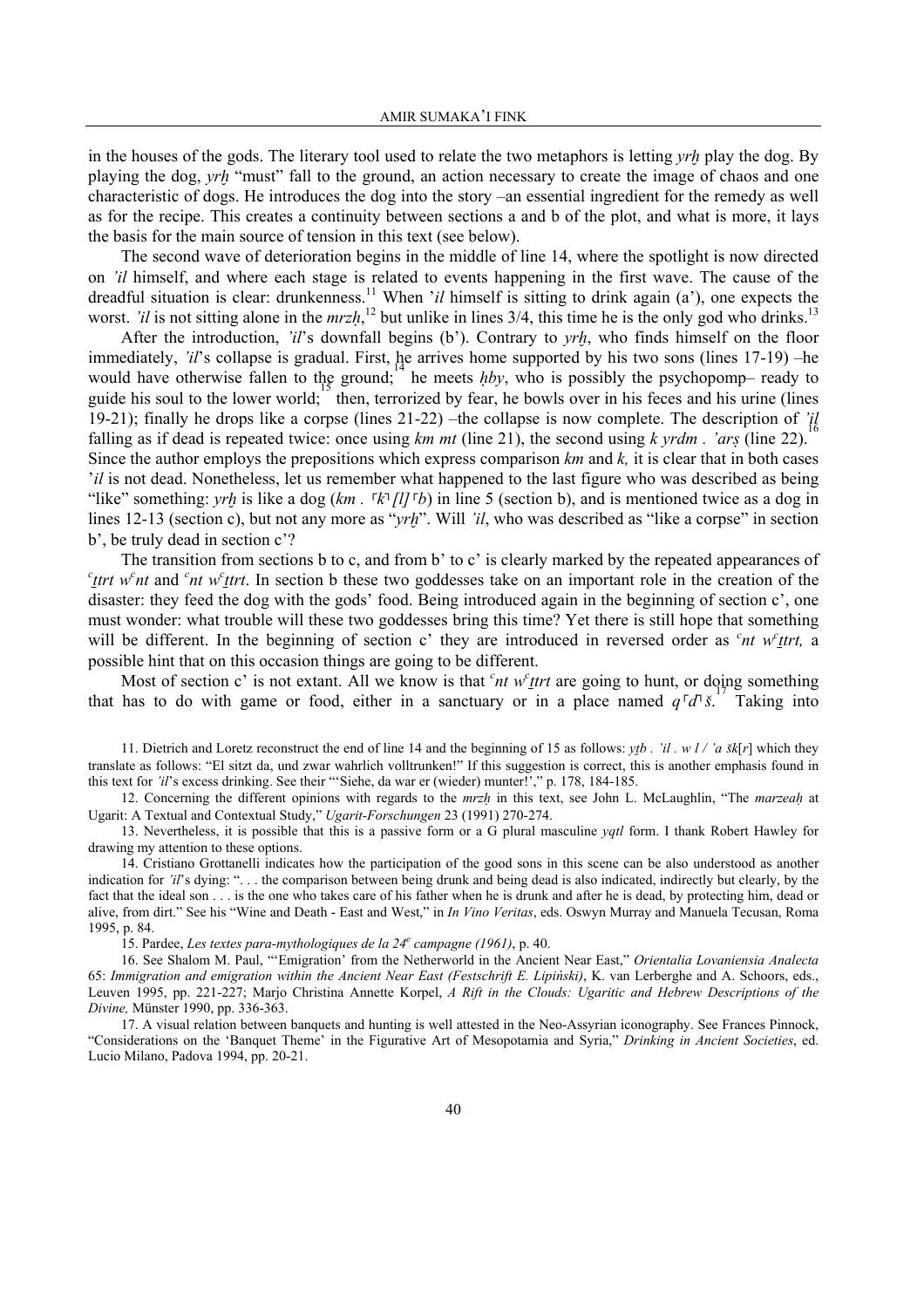in the houses of the gods. The literary tool used to relate the two metaphors is letting *yr≠* play the dog. By playing the dog, *yr≠* "must" fall to the ground, an action necessary to create the image of chaos and one characteristic of dogs. He introduces the dog into the story –an essential ingredient for the remedy as well as for the recipe. This creates a continuity between sections a and b of the plot, and what is more, it lays the basis for the main source of tension in this text (see below).

 The second wave of deterioration begins in the middle of line 14, where the spotlight is now directed on *'il* himself, and where each stage is related to events happening in the first wave. The cause of the dreadful situation is clear: drunkenness.<sup>11</sup> When '*il* himself is sitting to drink again (a'), one expects the worst. *'il* is not sitting alone in the *mrzh*,<sup>12</sup> but unlike in lines 3/4, this time he is the only god who drinks.<sup>13</sup>

After the introduction, *'il's* downfall begins (b'). Contrary to *yrh*, who finds himself on the floor immediately, *'il'*s collapse is gradual. First, he arrives home supported by his two sons (lines 17-19) –he would have otherwise fallen to the ground; he meets *hby*, who is possibly the psychopomp– ready to moint have enterwhere tarten to the lower world; then, terrorized by fear, he bowls over in his feces and his urine (lines guide his soul to the lower world; then, terrorized by fear, he bowls over in his feces and his uri 19-21); finally he drops like a corpse (lines 21-22) –the collapse is now complete. The description of *'il* 16 falling as if dead is repeated twice: once using *km mt* (line 21), the second using *k yrdm . 'ar§* (line 22). Since the author employs the prepositions which express comparison *km* and *k,* it is clear that in both cases *'il* is not dead. Nonetheless, let us remember what happened to the last figure who was described as being

"like" something: *yrh* is like a dog (*km*.  $\lceil k \rceil [l] \rceil b$ ) in line 5 (section b), and is mentioned twice as a dog in lines 12-13 (section c), but not any more as "*yrh*". Will 'il, who was described as "like a corpse" in section b', be truly dead in section c'?

 The transition from sections b to c, and from b' to c' is clearly marked by the repeated appearances of  $c$ <sub>*ttrt*</sub> w<sup>c</sup><sub>*nt*</sub> and <sup>*c*</sup><sub>*nt*</sub> w<sup>*c*</sup><sub>*ttrt*</sub>. In section b these two goddesses take on an important role in the creation of the disaster: they feed the dog with the gods' food. Being introduced again in the beginning of section c', one must wonder: what trouble will these two goddesses bring this time? Yet there is still hope that something will be different. In the beginning of section c' they are introduced in reversed order as  $c<sup>2</sup>nt w<sup>c</sup> t$ . possible hint that on this occasion things are going to be different.

Most of section c' is not extant. All we know is that  $<sup>c</sup>nt w<sup>c</sup>trt$  are going to hunt, or doing something</sup> that has to do with game or food, either in a sanctuary or in a place named *q*<sup>*d*<sup>*∆*</sup><sub>*j*</sub><sup>*n*</sup>. Taking into</sup>

11. Dietrich and Loretz reconstruct the end of line 14 and the beginning of 15 as follows:  $ytb$ . 'il. w  $l / a$   $\frac{\dot{x}}{r}$ ] which they translate as follows: "El sitzt da, und zwar wahrlich volltrunken!" If this suggestion is correct, this is another emphasis found in this text for *'il*'s excess drinking. See their "'Siehe, da war er (wieder) munter!'," p. 178, 184-185.

12. Concerning the different opinions with regards to the *mrzú* in this text, see John L. McLaughlin, "The *marzeaú* at Ugarit: A Textual and Contextual Study," *Ugarit-Forschungen* 23 (1991) 270-274.

13. Nevertheless, it is possible that this is a passive form or a G plural masculine *yqtl* form. I thank Robert Hawley for drawing my attention to these options.

14. Cristiano Grottanelli indicates how the participation of the good sons in this scene can be also understood as another indication for *'il*'s dying: ". . . the comparison between being drunk and being dead is also indicated, indirectly but clearly, by the fact that the ideal son . . . is the one who takes care of his father when he is drunk and after he is dead, by protecting him, dead or alive, from dirt." See his "Wine and Death - East and West," in *In Vino Veritas*, eds. Oswyn Murray and Manuela Tecusan, Roma 1995, p. 84.

15. Pardee, *Les textes para-mythologiques de la 24e campagne (1961)*, p. 40.

16. See Shalom M. Paul, "'Emigration' from the Netherworld in the Ancient Near East," *Orientalia Lovaniensia Analecta*  65: *Immigration and emigration within the Ancient Near East (Festschrift E. Lipiński)*, K. van Lerberghe and A. Schoors, eds., Leuven 1995, pp. 221-227; Marjo Christina Annette Korpel, *A Rift in the Clouds: Ugaritic and Hebrew Descriptions of the Divine,* Münster 1990, pp. 336-363.

17. A visual relation between banquets and hunting is well attested in the Neo-Assyrian iconography. See Frances Pinnock, "Considerations on the 'Banquet Theme' in the Figurative Art of Mesopotamia and Syria," *Drinking in Ancient Societies*, ed. Lucio Milano, Padova 1994, pp. 20-21.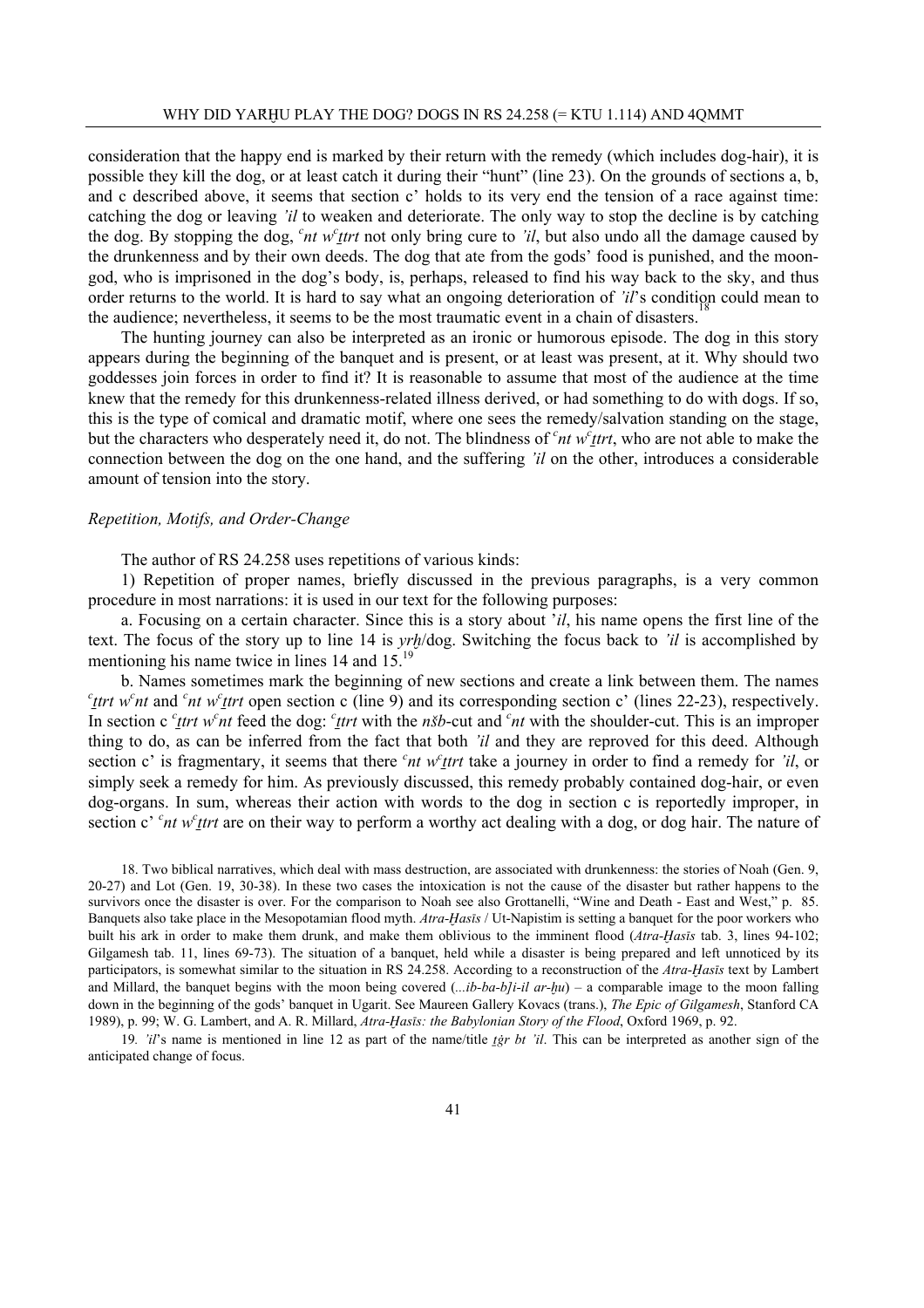consideration that the happy end is marked by their return with the remedy (which includes dog-hair), it is possible they kill the dog, or at least catch it during their "hunt" (line 23). On the grounds of sections a, b, and c described above, it seems that section c' holds to its very end the tension of a race against time: catching the dog or leaving *'il* to weaken and deteriorate. The only way to stop the decline is by catching the dog. By stopping the dog,  $c$ <sup>*nt w<sup>c</sup>ttrt* not only bring cure to *'il*, but also undo all the damage caused by</sup> the drunkenness and by their own deeds. The dog that ate from the gods' food is punished, and the moongod, who is imprisoned in the dog's body, is, perhaps, released to find his way back to the sky, and thus order returns to the world. It is hard to say what an ongoing deterioration of *'il*'s condition could mean to the audience; nevertheless, it seems to be the most traumatic event in a chain of disasters.

 The hunting journey can also be interpreted as an ironic or humorous episode. The dog in this story appears during the beginning of the banquet and is present, or at least was present, at it. Why should two goddesses join forces in order to find it? It is reasonable to assume that most of the audience at the time knew that the remedy for this drunkenness-related illness derived, or had something to do with dogs. If so, this is the type of comical and dramatic motif, where one sees the remedy/salvation standing on the stage, but the characters who desperately need it, do not. The blindness of <sup>c</sup>nt w<sup>c</sup>ttrt, who are not able to make the connection between the dog on the one hand, and the suffering *'il* on the other, introduces a considerable amount of tension into the story.

#### *Repetition, Motifs, and Order-Change*

The author of RS 24.258 uses repetitions of various kinds:

 1) Repetition of proper names, briefly discussed in the previous paragraphs, is a very common procedure in most narrations: it is used in our text for the following purposes:

 a. Focusing on a certain character. Since this is a story about '*il*, his name opens the first line of the text. The focus of the story up to line 14 is *yr≠*/dog. Switching the focus back to *'il* is accomplished by mentioning his name twice in lines 14 and  $15$ .<sup>19</sup>

 b. Names sometimes mark the beginning of new sections and create a link between them. The names  $c$ <sub>*ttrt*</sub> w<sup>c</sup><sub>*nt*</sub> and <sup>*c*</sup><sub>*nt*</sub> w<sup>*c*</sup><sub>*ttrt*</sub> open section c (line 9) and its corresponding section c' (lines 22-23), respectively. In section c  $c$ <sup>*r*</sup> *tert* w<sup>*c*</sup> *nt* feed the dog:  $c$ <sup>*t*</sup>*trt* with the *n*<sup>*s*</sup>*b*-cut and  $c$ <sup>*nt*</sup> with the shoulder-cut. This is an improper thing to do, as can be inferred from the fact that both *'il* and they are reproved for this deed. Although section c' is fragmentary, it seems that there  $c<sub>nt</sub> w<sub>rt</sub>$  trt take a journey in order to find a remedy for *'il*, or simply seek a remedy for him. As previously discussed, this remedy probably contained dog-hair, or even dog-organs. In sum, whereas their action with words to the dog in section c is reportedly improper, in section c' <sup>c</sup>nt w<sup>c</sup> test are on their way to perform a worthy act dealing with a dog, or dog hair. The nature of

18. Two biblical narratives, which deal with mass destruction, are associated with drunkenness: the stories of Noah (Gen. 9, 20-27) and Lot (Gen. 19, 30-38). In these two cases the intoxication is not the cause of the disaster but rather happens to the survivors once the disaster is over. For the comparison to Noah see also Grottanelli, "Wine and Death - East and West," p. 85. Banquets also take place in the Mesopotamian flood myth. *Atra-ïas∞s* / Ut-Napistim is setting a banquet for the poor workers who built his ark in order to make them drunk, and make them oblivious to the imminent flood (*Atra-Hasīs* tab. 3, lines 94-102; Gilgamesh tab. 11, lines 69-73). The situation of a banquet, held while a disaster is being prepared and left unnoticed by its participators, is somewhat similar to the situation in RS 24.258. According to a reconstruction of the *Atra-ïas∞s* text by Lambert and Millard, the banquet begins with the moon being covered (*...ib-ba-b]i-il ar-≠u*) – a comparable image to the moon falling down in the beginning of the gods' banquet in Ugarit. See Maureen Gallery Kovacs (trans.), *The Epic of Gilgamesh*, Stanford CA 1989), p. 99; W. G. Lambert, and A. R. Millard, *Atra-Hasis: the Babylonian Story of the Flood*, Oxford 1969, p. 92.

19. '*il*'s name is mentioned in line 12 as part of the name/title *tgr bt 'il*. This can be interpreted as another sign of the anticipated change of focus.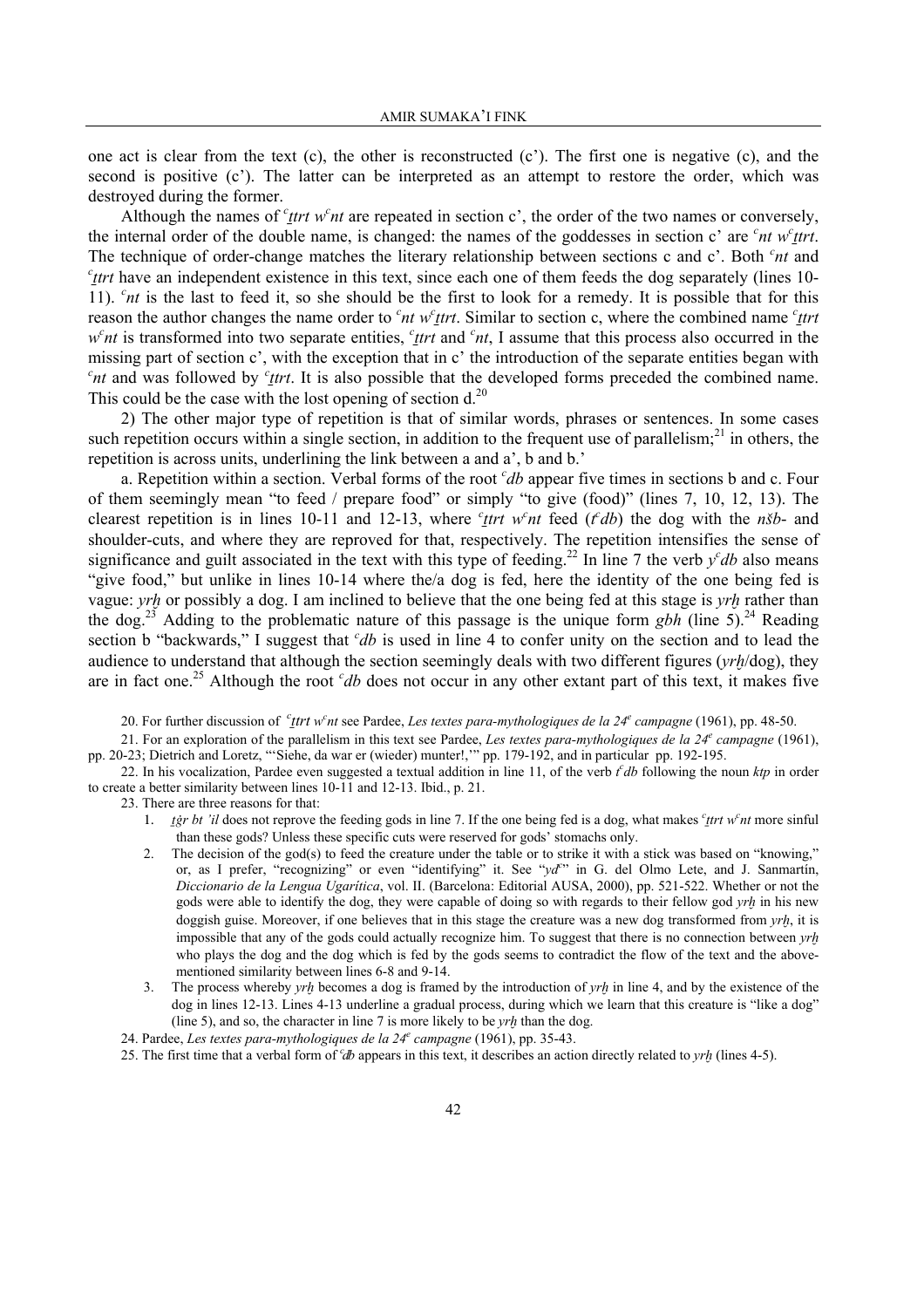one act is clear from the text  $(c)$ , the other is reconstructed  $(c')$ . The first one is negative  $(c)$ , and the second is positive (c'). The latter can be interpreted as an attempt to restore the order, which was destroyed during the former.

Although the names of  $c$ <sup>*t*</sup> *trt w*<sup>*c*</sup> *nt* are repeated in section c', the order of the two names or conversely, the internal order of the double name, is changed: the names of the goddesses in section c' are  $c<sup>n</sup>$ t w<sup>c</sup>ttrt. The technique of order-change matches the literary relationship between sections c and c'. Both <sup>c</sup>nt and *c*<sub>Itrt</sub> have an independent existence in this text, since each one of them feeds the dog separately (lines 10-11).  $<sup>c</sup>nt$  is the last to feed it, so she should be the first to look for a remedy. It is possible that for this</sup> reason the author changes the name order to  $\epsilon$ <sup>*nt*</sup> w<sup>*c*</sup><sub>*ttrt*</sub>. Similar to section c, where the combined name  $\epsilon$ <sup>*ttrt*</sup> *w<sup>c</sup>nt* is transformed into two separate entities, *c*<sub>*ttrt*</sub> and *c*<sup>*nt*</sup>, I assume that this process also occurred in the missing part of section c', with the exception that in c' the introduction of the separate entities began with  $c<sub>nt</sub>$  and was followed by  $c<sub>1</sub>$  *trt*. It is also possible that the developed forms preceded the combined name. This could be the case with the lost opening of section  $d<sup>20</sup>$ .

 2) The other major type of repetition is that of similar words, phrases or sentences. In some cases such repetition occurs within a single section, in addition to the frequent use of parallelism;<sup>21</sup> in others, the repetition is across units, underlining the link between a and a', b and b.'

a. Repetition within a section. Verbal forms of the root *cdb* appear five times in sections b and c. Four of them seemingly mean "to feed / prepare food" or simply "to give (food)" (lines 7, 10, 12, 13). The clearest repetition is in lines 10-11 and 12-13, where  $c$ <sup>*thet wort* feed (*t<sup>c</sup>db*) the dog with the *n*<sup>*sb*</sup>- and</sup> shoulder-cuts, and where they are reproved for that, respectively. The repetition intensifies the sense of significance and guilt associated in the text with this type of feeding.<sup>22</sup> In line 7 the verb  $y^c$ *db* also means "give food," but unlike in lines 10-14 where the/a dog is fed, here the identity of the one being fed is vague: *yrh* or possibly a dog. I am inclined to believe that the one being fed at this stage is *yrh* rather than the dog.<sup>23</sup> Adding to the problematic nature of this passage is the unique form *gbh* (line 5).<sup>24</sup> Reading section b "backwards," I suggest that *cdb* is used in line 4 to confer unity on the section and to lead the audience to understand that although the section seemingly deals with two different figures (*yr∤*<sub>*†*</sub>/dog), they are in fact one.<sup>25</sup> Although the root *cdb* does not occur in any other extant part of this text, it makes five

20. For further discussion of  $c$ <sup>t</sup> *trt* w<sup>c</sup><sub>nt</sub> see Pardee, *Les textes para-mythologiques de la 24<sup>e</sup> campagne* (1961), pp. 48-50.

21. For an exploration of the parallelism in this text see Pardee, *Les textes para-mythologiques de la 24<sup>e</sup> campagne* (1961), pp. 20-23; Dietrich and Loretz, "'Siehe, da war er (wieder) munter!,'" pp. 179-192, and in particular pp. 192-195.

- 22. In his vocalization, Pardee even suggested a textual addition in line 11, of the verb  $fdb$  following the noun  $ktp$  in order to create a better similarity between lines 10-11 and 12-13. Ibid., p. 21.
	- 23. There are three reasons for that:
		- 1. *igr bt 'il* does not reprove the feeding gods in line 7. If the one being fed is a dog, what makes  $c$ *trt w<sup>c</sup>nt* more sinful than these gods? Unless these specific cuts were reserved for gods' stomachs only.
		- 2. The decision of the god(s) to feed the creature under the table or to strike it with a stick was based on "knowing," or, as I prefer, "recognizing" or even "identifying" it. See "*ydc* " in G. del Olmo Lete, and J. Sanmartín, *Diccionario de la Lengua Ugarítica*, vol. II. (Barcelona: Editorial AUSA, 2000), pp. 521-522. Whether or not the gods were able to identify the dog, they were capable of doing so with regards to their fellow god *yrh* in his new doggish guise. Moreover, if one believes that in this stage the creature was a new dog transformed from *yr≠*, it is impossible that any of the gods could actually recognize him. To suggest that there is no connection between *yr≠* who plays the dog and the dog which is fed by the gods seems to contradict the flow of the text and the abovementioned similarity between lines 6-8 and 9-14.
		- 3. The process whereby *yr≠* becomes a dog is framed by the introduction of *yr≠* in line 4, and by the existence of the dog in lines 12-13. Lines 4-13 underline a gradual process, during which we learn that this creature is "like a dog" (line 5), and so, the character in line 7 is more likely to be *yrh* than the dog.
		- 24. Pardee, *Les textes para-mythologiques de la 24e campagne* (1961), pp. 35-43.
		- 25. The first time that a verbal form of *c*<sup>*th*</sup> appears in this text, it describes an action directly related to *yrh* (lines 4-5).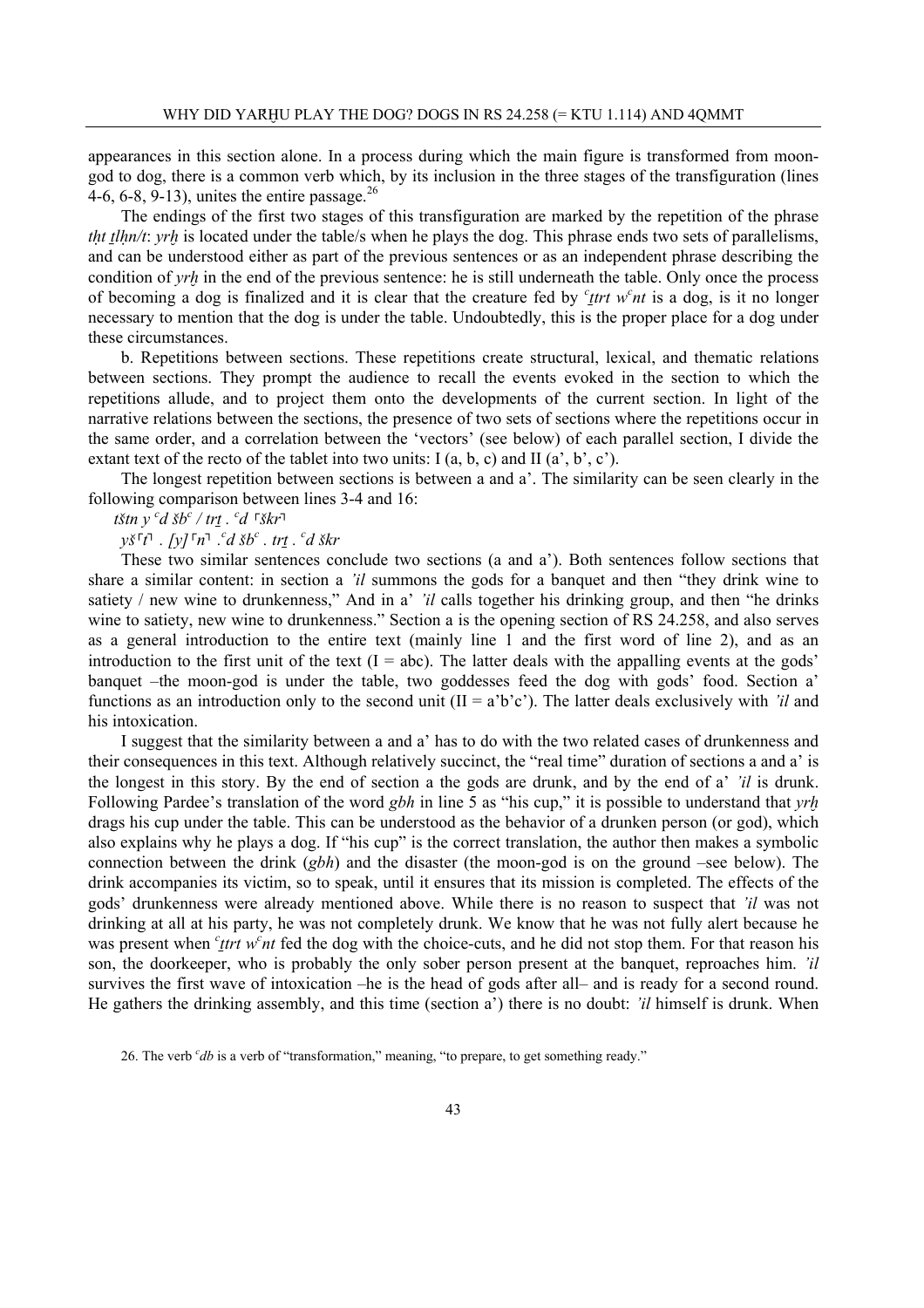appearances in this section alone. In a process during which the main figure is transformed from moongod to dog, there is a common verb which, by its inclusion in the three stages of the transfiguration (lines 4-6, 6-8, 9-13), unites the entire passage.  $^{26}$ 

 The endings of the first two stages of this transfiguration are marked by the repetition of the phrase *tht tlhn/t*: *yrh* is located under the table/s when he plays the dog. This phrase ends two sets of parallelisms, and can be understood either as part of the previous sentences or as an independent phrase describing the condition of *yr<sub>l</sub>*<sup>*i*</sup> in the end of the previous sentence: he is still underneath the table. Only once the process of becoming a dog is finalized and it is clear that the creature fed by  $c$ <sup>*t*</sup>*trt* w<sup>*c*</sup><sub>*nt*</sub> is a dog, is it no longer necessary to mention that the dog is under the table. Undoubtedly, this is the proper place for a dog under these circumstances.

 b. Repetitions between sections. These repetitions create structural, lexical, and thematic relations between sections. They prompt the audience to recall the events evoked in the section to which the repetitions allude, and to project them onto the developments of the current section. In light of the narrative relations between the sections, the presence of two sets of sections where the repetitions occur in the same order, and a correlation between the 'vectors' (see below) of each parallel section, I divide the extant text of the recto of the tablet into two units: I  $(a, b, c)$  and II  $(a', b', c')$ .

 The longest repetition between sections is between a and a'. The similarity can be seen clearly in the following comparison between lines 3-4 and 16:

 *t'tn y <sup>c</sup> d 'b<sup>c</sup> / tr¨ . <sup>c</sup> d ┌ 'kr┐*

*y*<sup>*s*</sup>  $\lceil t \rceil$  *. [y*]  $\lceil n \rceil$  *. <sup><i>c</sup>d šb<sup>c</sup> . tri . <sup><i>c</sup>d škr*</sup></sup>

 These two similar sentences conclude two sections (a and a'). Both sentences follow sections that share a similar content: in section a *'il* summons the gods for a banquet and then "they drink wine to satiety / new wine to drunkenness," And in a' *'il* calls together his drinking group, and then "he drinks" wine to satiety, new wine to drunkenness." Section a is the opening section of RS 24.258, and also serves as a general introduction to the entire text (mainly line 1 and the first word of line 2), and as an introduction to the first unit of the text  $(I = abc)$ . The latter deals with the appalling events at the gods' banquet –the moon-god is under the table, two goddesses feed the dog with gods' food. Section a' functions as an introduction only to the second unit  $(II = a'b'c')$ . The latter deals exclusively with *'il* and his intoxication.

 I suggest that the similarity between a and a' has to do with the two related cases of drunkenness and their consequences in this text. Although relatively succinct, the "real time" duration of sections a and a' is the longest in this story. By the end of section a the gods are drunk, and by the end of a' *'il* is drunk. Following Pardee's translation of the word *gbh* in line 5 as "his cup," it is possible to understand that *yrh* drags his cup under the table. This can be understood as the behavior of a drunken person (or god), which also explains why he plays a dog. If "his cup" is the correct translation, the author then makes a symbolic connection between the drink (*gbh*) and the disaster (the moon-god is on the ground –see below). The drink accompanies its victim, so to speak, until it ensures that its mission is completed. The effects of the gods' drunkenness were already mentioned above. While there is no reason to suspect that *'il* was not drinking at all at his party, he was not completely drunk. We know that he was not fully alert because he was present when *<sup>c</sup> ttrt w<sup>c</sup> nt* fed the dog with the choice-cuts, and he did not stop them. For that reason his son, the doorkeeper, who is probably the only sober person present at the banquet, reproaches him. *'il* survives the first wave of intoxication –he is the head of gods after all– and is ready for a second round. He gathers the drinking assembly, and this time (section a') there is no doubt: *'il* himself is drunk. When

<sup>26.</sup> The verb *<sup>c</sup> db* is a verb of "transformation," meaning, "to prepare, to get something ready."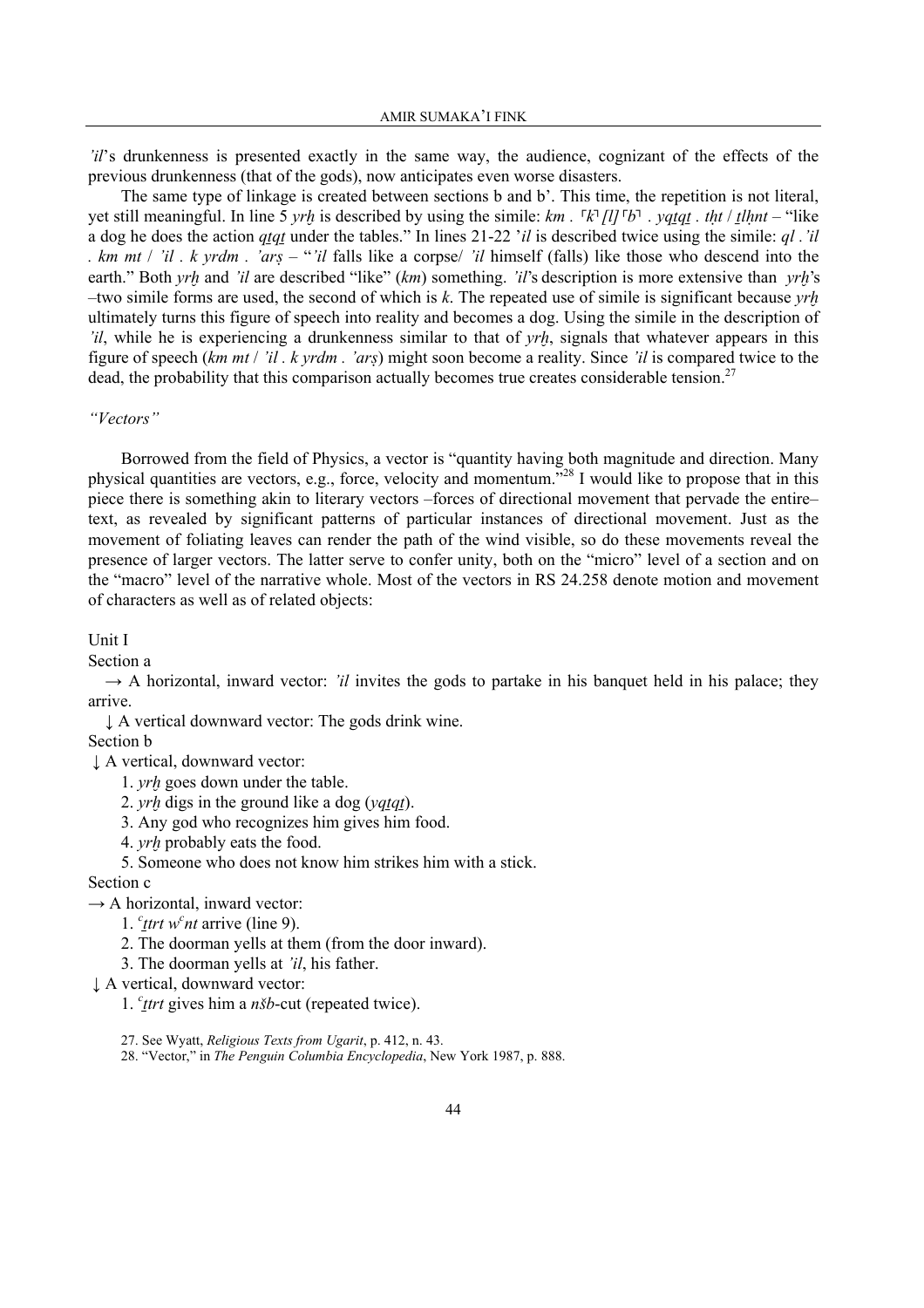*'il*'s drunkenness is presented exactly in the same way, the audience, cognizant of the effects of the previous drunkenness (that of the gods), now anticipates even worse disasters.

 The same type of linkage is created between sections b and b'. This time, the repetition is not literal, yet still meaningful. In line 5 yrh is described by using the simile: km.  $\lceil k \rceil [l] \rceil b \rceil$ . yqtqt. tht / that – "like a dog he does the action *qtqt* under the tables." In lines 21-22 '*il* is described twice using the simile: *ql* .'*il . km mt* / *'il . k yrdm . 'ar§* – "*'il* falls like a corpse/ *'il* himself (falls) like those who descend into the earth." Both *yrh* and *'il* are described "like" (*km*) something. *'il*'s description is more extensive than *yrh*'s –two simile forms are used, the second of which is  $k$ . The repeated use of simile is significant because *yrh* ultimately turns this figure of speech into reality and becomes a dog. Using the simile in the description of *'il*, while he is experiencing a drunkenness similar to that of *yrh*, signals that whatever appears in this figure of speech (*km mt* / *'il . k yrdm . 'ar§*) might soon become a reality. Since *'il* is compared twice to the dead, the probability that this comparison actually becomes true creates considerable tension.<sup>27</sup>

#### *"Vectors"*

 Borrowed from the field of Physics, a vector is "quantity having both magnitude and direction. Many physical quantities are vectors, e.g., force, velocity and momentum."28 I would like to propose that in this piece there is something akin to literary vectors –forces of directional movement that pervade the entire– text, as revealed by significant patterns of particular instances of directional movement. Just as the movement of foliating leaves can render the path of the wind visible, so do these movements reveal the presence of larger vectors. The latter serve to confer unity, both on the "micro" level of a section and on the "macro" level of the narrative whole. Most of the vectors in RS 24.258 denote motion and movement of characters as well as of related objects:

Unit I

Section a

 $\rightarrow$  A horizontal, inward vector: *'il* invites the gods to partake in his banquet held in his palace; they arrive.

↓ A vertical downward vector: The gods drink wine. Section b

↓ A vertical, downward vector:

1. *yrh* goes down under the table.

2. *yrh* digs in the ground like a dog (*yqtqt*).

3. Any god who recognizes him gives him food.

4. *yr≠* probably eats the food.

5. Someone who does not know him strikes him with a stick.

# Section c

 $\rightarrow$  A horizontal, inward vector:

- 1.  $c$ <sub>t</sub> $trt$  w<sup>c</sup> $nt$  arrive (line 9).
	- 2. The doorman yells at them (from the door inward).
	- 3. The doorman yells at *'il*, his father.

↓ A vertical, downward vector:

1. *<sup>c</sup> ¨trt* gives him a *n'b*-cut (repeated twice).

27. See Wyatt, *Religious Texts from Ugarit*, p. 412, n. 43.

28. "Vector," in *The Penguin Columbia Encyclopedia*, New York 1987, p. 888.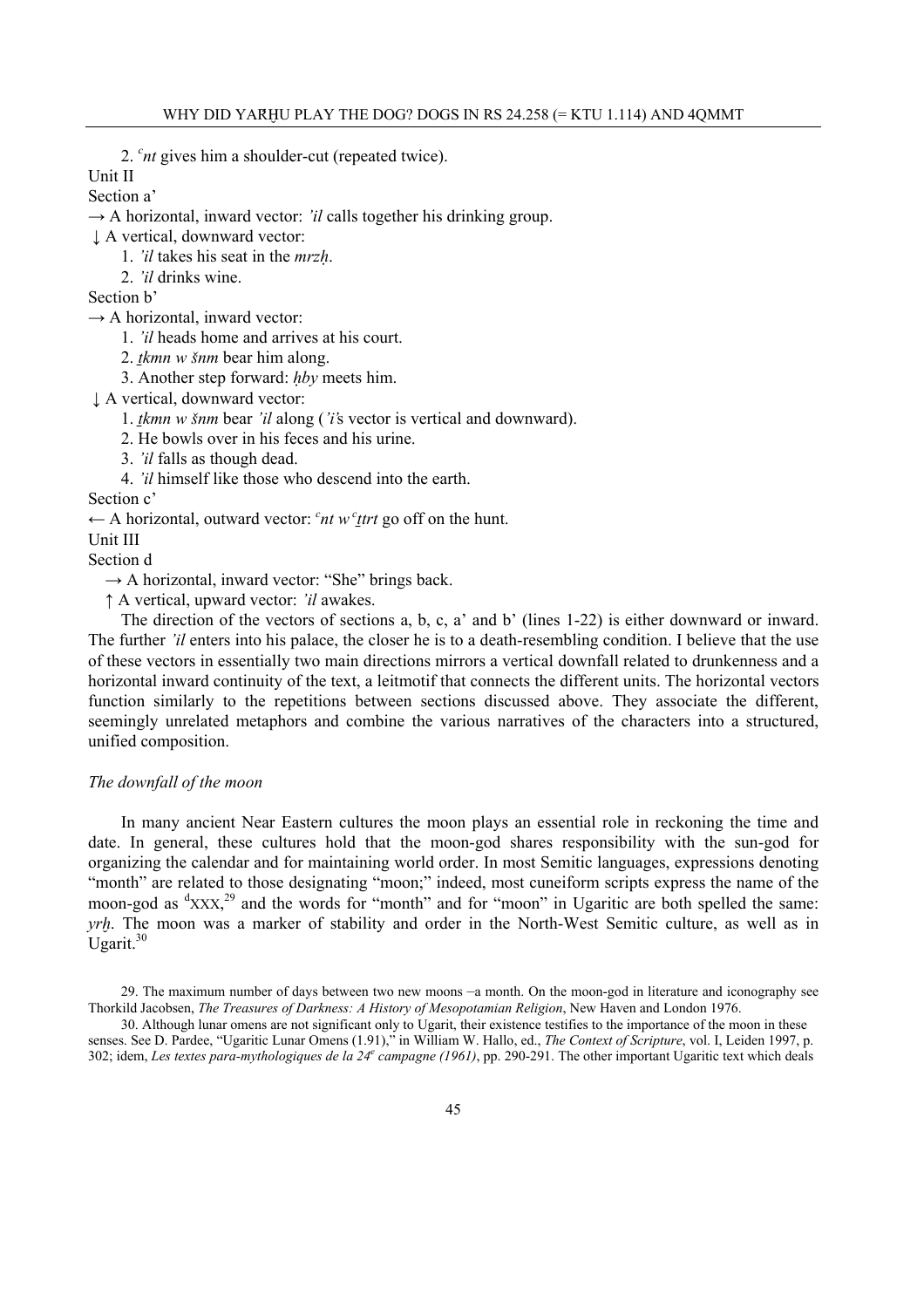2. *<sup>c</sup> nt* gives him a shoulder-cut (repeated twice).

Unit II

Section a'

 $\rightarrow$  A horizontal, inward vector: *'il* calls together his drinking group.

↓ A vertical, downward vector:

1. *'il* takes his seat in the *mrzú*.

2. *'il* drinks wine.

Section b'

 $\rightarrow$  A horizontal, inward vector:

1. *'il* heads home and arrives at his court.

2. *tkmn w šnm* bear him along.

3. Another step forward: *úby* meets him.

↓ A vertical, downward vector:

1. *tkmn w šnm* bear *'il* along (*'i's* vector is vertical and downward).

2. He bowls over in his feces and his urine.

3. *'il* falls as though dead.

4. *'il* himself like those who descend into the earth.

Section c'

← A horizontal, outward vector: <sup>*c*</sup>nt w <sup>*c*</sup><sub>*t*</sub>trt go off on the hunt.

Unit III

Section d

 $\rightarrow$  A horizontal, inward vector: "She" brings back.

↑ A vertical, upward vector: *'il* awakes.

 The direction of the vectors of sections a, b, c, a' and b' (lines 1-22) is either downward or inward. The further *'il* enters into his palace, the closer he is to a death-resembling condition. I believe that the use of these vectors in essentially two main directions mirrors a vertical downfall related to drunkenness and a horizontal inward continuity of the text, a leitmotif that connects the different units. The horizontal vectors function similarly to the repetitions between sections discussed above. They associate the different, seemingly unrelated metaphors and combine the various narratives of the characters into a structured, unified composition.

#### *The downfall of the moon*

 In many ancient Near Eastern cultures the moon plays an essential role in reckoning the time and date. In general, these cultures hold that the moon-god shares responsibility with the sun-god for organizing the calendar and for maintaining world order. In most Semitic languages, expressions denoting "month" are related to those designating "moon;" indeed, most cuneiform scripts express the name of the moon-god as  ${}^d$ xxx,<sup>29</sup> and the words for "month" and for "moon" in Ugaritic are both spelled the same: *yrh*. The moon was a marker of stability and order in the North-West Semitic culture, as well as in Ugarit. $30$ 

29. The maximum number of days between two new moons –a month. On the moon-god in literature and iconography see Thorkild Jacobsen, *The Treasures of Darkness: A History of Mesopotamian Religion*, New Haven and London 1976.

30. Although lunar omens are not significant only to Ugarit, their existence testifies to the importance of the moon in these senses. See D. Pardee, "Ugaritic Lunar Omens (1.91)," in William W. Hallo, ed., *The Context of Scripture*, vol. I, Leiden 1997, p. 302; idem, *Les textes para-mythologiques de la 24e campagne (1961)*, pp. 290-291. The other important Ugaritic text which deals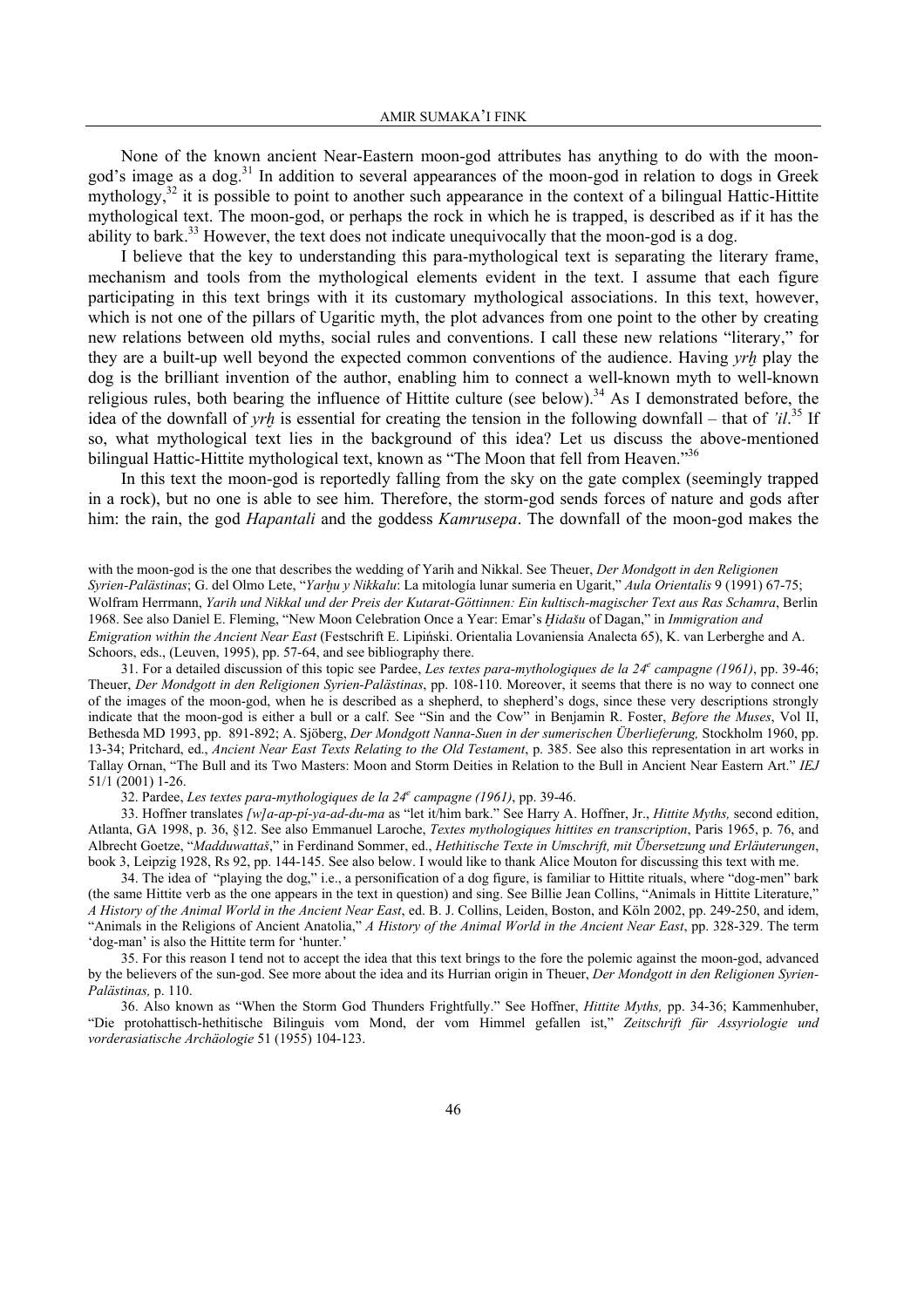None of the known ancient Near-Eastern moon-god attributes has anything to do with the moongod's image as a dog.<sup>31</sup> In addition to several appearances of the moon-god in relation to dogs in Greek mythology, $32$  it is possible to point to another such appearance in the context of a bilingual Hattic-Hittite mythological text. The moon-god, or perhaps the rock in which he is trapped, is described as if it has the ability to bark.<sup>33</sup> However, the text does not indicate unequivocally that the moon-god is a dog.

 I believe that the key to understanding this para-mythological text is separating the literary frame, mechanism and tools from the mythological elements evident in the text. I assume that each figure participating in this text brings with it its customary mythological associations. In this text, however, which is not one of the pillars of Ugaritic myth, the plot advances from one point to the other by creating new relations between old myths, social rules and conventions. I call these new relations "literary," for they are a built-up well beyond the expected common conventions of the audience. Having *yr≠* play the dog is the brilliant invention of the author, enabling him to connect a well-known myth to well-known religious rules, both bearing the influence of Hittite culture (see below).<sup>34</sup> As I demonstrated before, the idea of the downfall of *yr≠* is essential for creating the tension in the following downfall – that of *'il*. 35 If so, what mythological text lies in the background of this idea? Let us discuss the above-mentioned bilingual Hattic-Hittite mythological text, known as "The Moon that fell from Heaven."36

 In this text the moon-god is reportedly falling from the sky on the gate complex (seemingly trapped in a rock), but no one is able to see him. Therefore, the storm-god sends forces of nature and gods after him: the rain, the god *Hapantali* and the goddess *Kamrusepa*. The downfall of the moon-god makes the

with the moon-god is the one that describes the wedding of Yarih and Nikkal. See Theuer, *Der Mondgott in den Religionen Syrien-Palästinas*; G. del Olmo Lete, "*Yar≠u y Nikkalu*: La mitología lunar sumeria en Ugarit," *Aula Orientalis* 9 (1991) 67-75; Wolfram Herrmann, *Yarih und Nikkal und der Preis der Kutarat-Göttinnen: Ein kultisch-magischer Text aus Ras Schamra*, Berlin 1968. See also Daniel E. Fleming, "New Moon Celebration Once a Year: Emar's *ïida'u* of Dagan," in *Immigration and Emigration within the Ancient Near East* (Festschrift E. Lipiński. Orientalia Lovaniensia Analecta 65), K. van Lerberghe and A. Schoors, eds., (Leuven, 1995), pp. 57-64, and see bibliography there.

31. For a detailed discussion of this topic see Pardee, *Les textes para-mythologiques de la 24<sup>e</sup> campagne (1961)*, pp. 39-46; Theuer, *Der Mondgott in den Religionen Syrien-Palästinas*, pp. 108-110. Moreover, it seems that there is no way to connect one of the images of the moon-god, when he is described as a shepherd, to shepherd's dogs, since these very descriptions strongly indicate that the moon-god is either a bull or a calf. See "Sin and the Cow" in Benjamin R. Foster, *Before the Muses*, Vol II, Bethesda MD 1993, pp. 891-892; A. Sjöberg, *Der Mondgott Nanna-Suen in der sumerischen Überlieferung,* Stockholm 1960, pp. 13-34; Pritchard, ed., *Ancient Near East Texts Relating to the Old Testament*, p. 385. See also this representation in art works in Tallay Ornan, "The Bull and its Two Masters: Moon and Storm Deities in Relation to the Bull in Ancient Near Eastern Art." *IEJ* 51/1 (2001) 1-26.

32. Pardee, *Les textes para-mythologiques de la 24e campagne (1961)*, pp. 39-46.

33. Hoffner translates *[w]a-ap-pí-ya-ad-du-ma* as "let it/him bark." See Harry A. Hoffner, Jr., *Hittite Myths,* second edition, Atlanta, GA 1998, p. 36, §12. See also Emmanuel Laroche, *Textes mythologiques hittites en transcription*, Paris 1965, p. 76, and Albrecht Goetze, "*Madduwattaš*," in Ferdinand Sommer, ed., *Hethitische Texte in Umschrift, mit Űbersetzung und Erläuterungen*, book 3, Leipzig 1928, Rs 92, pp. 144-145. See also below. I would like to thank Alice Mouton for discussing this text with me.

34. The idea of "playing the dog," i.e., a personification of a dog figure, is familiar to Hittite rituals, where "dog-men" bark (the same Hittite verb as the one appears in the text in question) and sing. See Billie Jean Collins, "Animals in Hittite Literature," *A History of the Animal World in the Ancient Near East*, ed. B. J. Collins, Leiden, Boston, and Köln 2002, pp. 249-250, and idem, "Animals in the Religions of Ancient Anatolia," *A History of the Animal World in the Ancient Near East*, pp. 328-329. The term 'dog-man' is also the Hittite term for 'hunter.'

35. For this reason I tend not to accept the idea that this text brings to the fore the polemic against the moon-god, advanced by the believers of the sun-god. See more about the idea and its Hurrian origin in Theuer, *Der Mondgott in den Religionen Syrien-Palästinas,* p. 110.

36. Also known as "When the Storm God Thunders Frightfully." See Hoffner, *Hittite Myths,* pp. 34-36; Kammenhuber, "Die protohattisch-hethitische Bilinguis vom Mond, der vom Himmel gefallen ist," *Zeitschrift für Assyriologie und vorderasiatische Archäologie* 51 (1955) 104-123.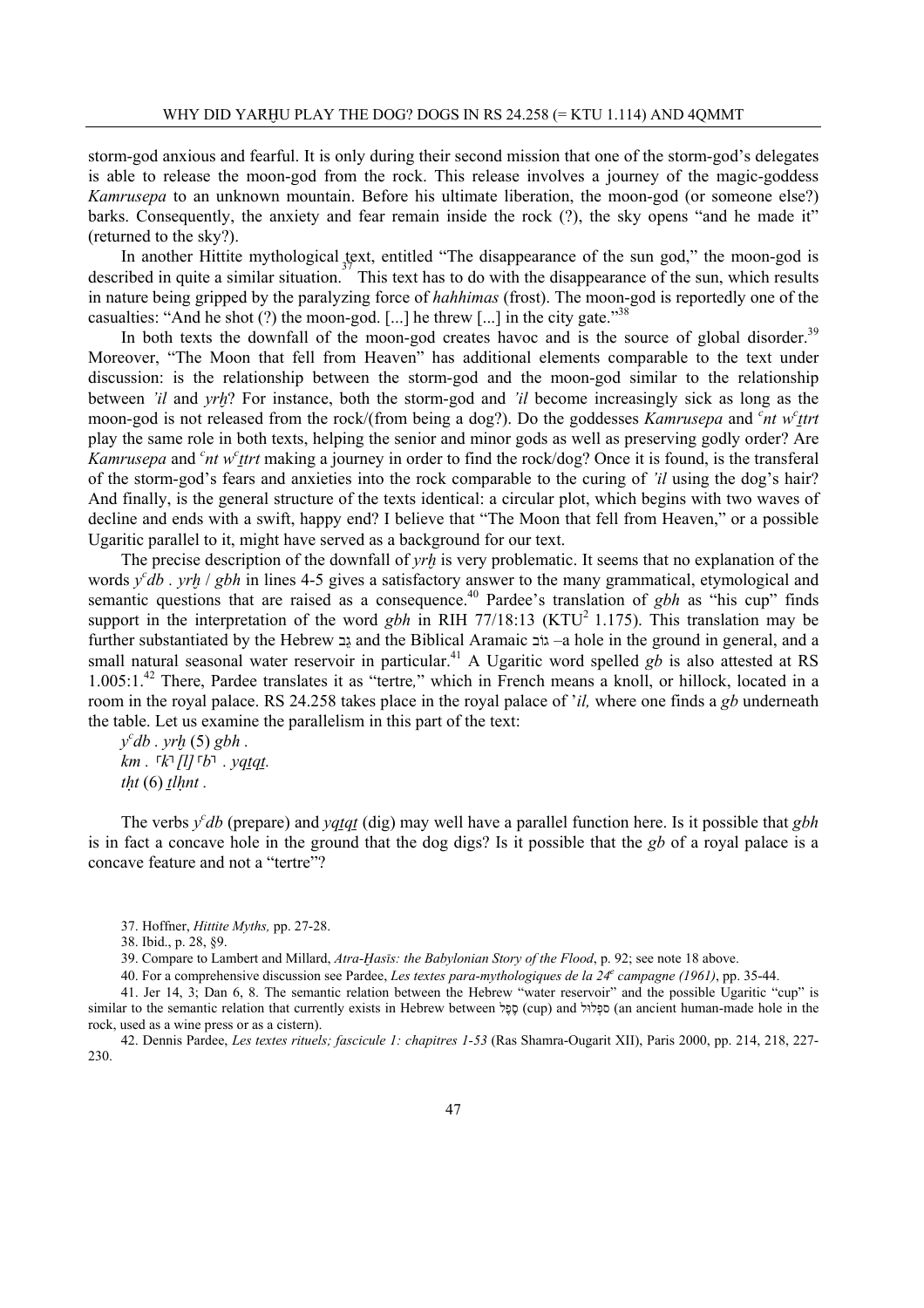storm-god anxious and fearful. It is only during their second mission that one of the storm-god's delegates is able to release the moon-god from the rock. This release involves a journey of the magic-goddess *Kamrusepa* to an unknown mountain. Before his ultimate liberation, the moon-god (or someone else?) barks. Consequently, the anxiety and fear remain inside the rock (?), the sky opens "and he made it" (returned to the sky?).

 In another Hittite mythological text, entitled "The disappearance of the sun god," the moon-god is described in quite a similar situation.<sup>37</sup> This text has to do with the disappearance of the sun, which results in nature being gripped by the paralyzing force of *hahhimas* (frost). The moon-god is reportedly one of the casualties: "And he shot (?) the moon-god. [...] he threw [...] in the city gate."  $38$ 

In both texts the downfall of the moon-god creates havoc and is the source of global disorder.<sup>39</sup> Moreover, "The Moon that fell from Heaven" has additional elements comparable to the text under discussion: is the relationship between the storm-god and the moon-god similar to the relationship between *'il* and *yrh*? For instance, both the storm-god and *'il* become increasingly sick as long as the moon-god is not released from the rock/(from being a dog?). Do the goddesses *Kamrusepa* and <sup>*c*</sup>nt w<sup>*c*</sup>ttrt</sub> play the same role in both texts, helping the senior and minor gods as well as preserving godly order? Are *Kamrusepa* and <sup>*c*</sup>nt w<sup>*c*</sup><sub>*ttrt*</sub> making a journey in order to find the rock/dog? Once it is found, is the transferal of the storm-god's fears and anxieties into the rock comparable to the curing of *'il* using the dog's hair? And finally, is the general structure of the texts identical: a circular plot, which begins with two waves of decline and ends with a swift, happy end? I believe that "The Moon that fell from Heaven," or a possible Ugaritic parallel to it, might have served as a background for our text.

The precise description of the downfall of *yrh* is very problematic. It seems that no explanation of the words *y*<sup>*c*</sup>db . *yrh* / *gbh* in lines 4-5 gives a satisfactory answer to the many grammatical, etymological and semantic questions that are raised as a consequence.<sup>40</sup> Pardee's translation of *gbh* as "his cup" finds support in the interpretation of the word *gbh* in RIH 77/18:13 (KTU<sup>2</sup> 1.175). This translation may be further substantiated by the Hebrew בֵג and the Biblical Aramaic גוֹב– a hole in the ground in general, and a small natural seasonal water reservoir in particular.<sup>41</sup> A Ugaritic word spelled *gb* is also attested at RS 1.005:1.42 There, Pardee translates it as "tertre*,*" which in French means a knoll, or hillock, located in a room in the royal palace. RS 24.258 takes place in the royal palace of '*il,* where one finds a *gb* underneath the table. Let us examine the parallelism in this part of the text:

*y c db . yr≠* (5) *gbh . km* .  $\lceil k \rceil$  [l]  $\lceil b \rceil$  . yq<u>tqt</u>.  *(6)*  $*tl*$ *<i>l.* 

The verbs  $y^c$ *db* (prepare) and  $yq_{q}$  (dig) may well have a parallel function here. Is it possible that *gbh* is in fact a concave hole in the ground that the dog digs? Is it possible that the *gb* of a royal palace is a concave feature and not a "tertre"?

39. Compare to Lambert and Millard, *Atra-ïas∞s: the Babylonian Story of the Flood*, p. 92; see note 18 above.

40. For a comprehensive discussion see Pardee, *Les textes para-mythologiques de la 24e campagne (1961)*, pp. 35-44.

41. Jer 14, 3; Dan 6, 8. The semantic relation between the Hebrew "water reservoir" and the possible Ugaritic "cup" is similar to the semantic relation that currently exists in Hebrew between לֶפֶס) cup) and לוּלְספ) an ancient human-made hole in the rock, used as a wine press or as a cistern).

42. Dennis Pardee, *Les textes rituels; fascicule 1: chapitres 1-53* (Ras Shamra-Ougarit XII), Paris 2000, pp. 214, 218, 227- 230.

<sup>37.</sup> Hoffner, *Hittite Myths,* pp. 27-28.

<sup>38.</sup> Ibid., p. 28, §9.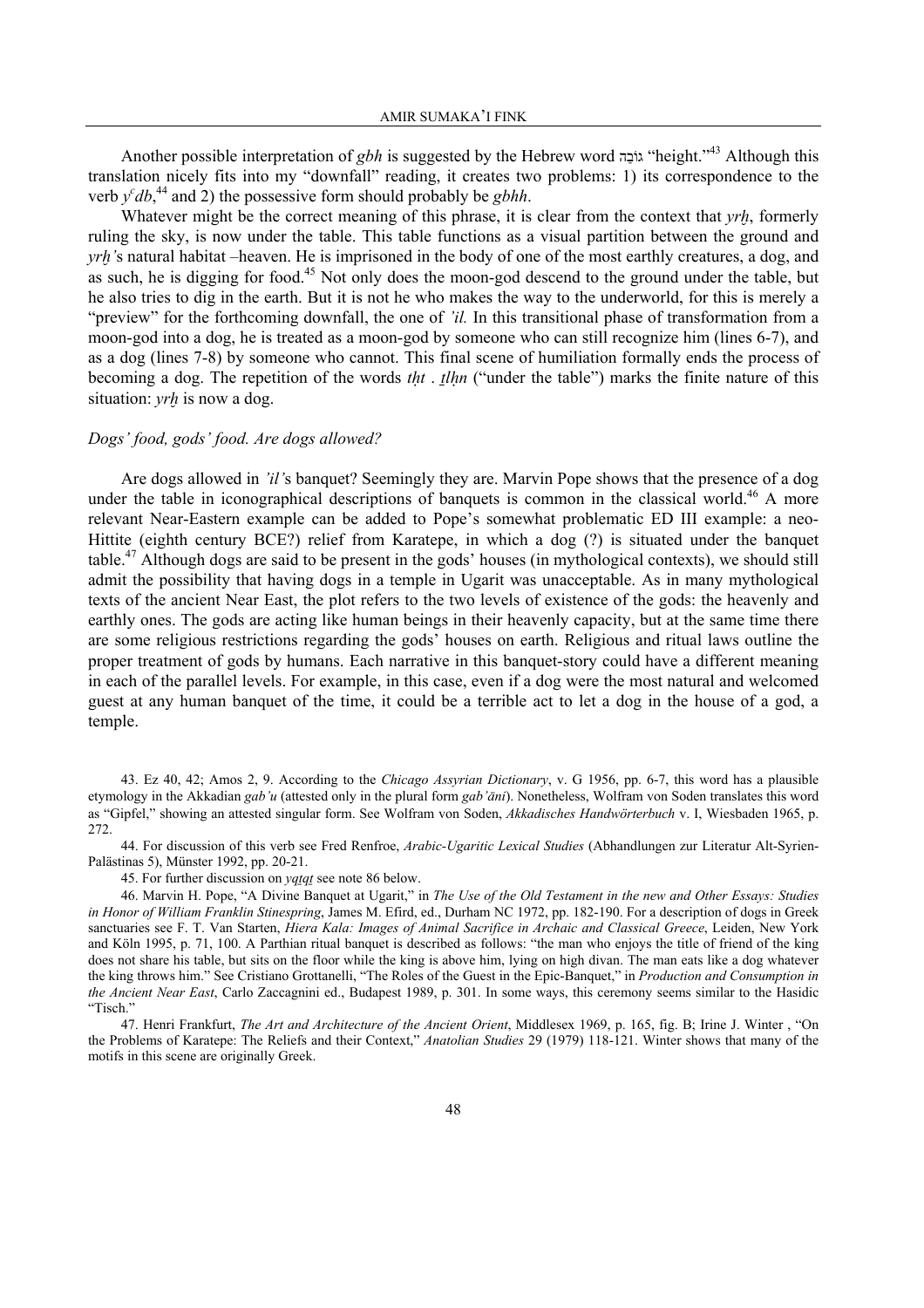Another possible interpretation of *gbh* is suggested by the Hebrew word הַגוֹב" height."43 Although this translation nicely fits into my "downfall" reading, it creates two problems: 1) its correspondence to the verb  $y^c db$ ,<sup>44</sup> and 2) the possessive form should probably be *gbhh*.

Whatever might be the correct meaning of this phrase, it is clear from the context that *yrh*, formerly ruling the sky, is now under the table. This table functions as a visual partition between the ground and *yrh*'s natural habitat –heaven. He is imprisoned in the body of one of the most earthly creatures, a dog, and as such, he is digging for food.<sup>45</sup> Not only does the moon-god descend to the ground under the table, but he also tries to dig in the earth. But it is not he who makes the way to the underworld, for this is merely a "preview" for the forthcoming downfall, the one of *'il.* In this transitional phase of transformation from a moon-god into a dog, he is treated as a moon-god by someone who can still recognize him (lines 6-7), and as a dog (lines 7-8) by someone who cannot. This final scene of humiliation formally ends the process of becoming a dog. The repetition of the words *tht* . *tlhn* ("under the table") marks the finite nature of this situation: *yrh* is now a dog.

### *Dogs' food, gods' food. Are dogs allowed?*

 Are dogs allowed in *'il'*s banquet? Seemingly they are. Marvin Pope shows that the presence of a dog under the table in iconographical descriptions of banquets is common in the classical world.<sup>46</sup> A more relevant Near-Eastern example can be added to Pope's somewhat problematic ED III example: a neo-Hittite (eighth century BCE?) relief from Karatepe, in which a dog (?) is situated under the banquet table.47 Although dogs are said to be present in the gods' houses (in mythological contexts), we should still admit the possibility that having dogs in a temple in Ugarit was unacceptable. As in many mythological texts of the ancient Near East, the plot refers to the two levels of existence of the gods: the heavenly and earthly ones. The gods are acting like human beings in their heavenly capacity, but at the same time there are some religious restrictions regarding the gods' houses on earth. Religious and ritual laws outline the proper treatment of gods by humans. Each narrative in this banquet-story could have a different meaning in each of the parallel levels. For example, in this case, even if a dog were the most natural and welcomed guest at any human banquet of the time, it could be a terrible act to let a dog in the house of a god, a temple.

44. For discussion of this verb see Fred Renfroe, *Arabic-Ugaritic Lexical Studies* (Abhandlungen zur Literatur Alt-Syrien-Palästinas 5), Münster 1992, pp. 20-21.

45. For further discussion on *yqtqt* see note 86 below.

46. Marvin H. Pope, "A Divine Banquet at Ugarit," in *The Use of the Old Testament in the new and Other Essays: Studies in Honor of William Franklin Stinespring*, James M. Efird, ed., Durham NC 1972, pp. 182-190. For a description of dogs in Greek sanctuaries see F. T. Van Starten, *Hiera Kala: Images of Animal Sacrifice in Archaic and Classical Greece*, Leiden, New York and Köln 1995, p. 71, 100. A Parthian ritual banquet is described as follows: "the man who enjoys the title of friend of the king does not share his table, but sits on the floor while the king is above him, lying on high divan. The man eats like a dog whatever the king throws him." See Cristiano Grottanelli, "The Roles of the Guest in the Epic-Banquet," in *Production and Consumption in the Ancient Near East*, Carlo Zaccagnini ed., Budapest 1989, p. 301. In some ways, this ceremony seems similar to the Hasidic "Tisch."

47. Henri Frankfurt, *The Art and Architecture of the Ancient Orient*, Middlesex 1969, p. 165, fig. B; Irine J. Winter , "On the Problems of Karatepe: The Reliefs and their Context," *Anatolian Studies* 29 (1979) 118-121. Winter shows that many of the motifs in this scene are originally Greek.

<sup>43.</sup> Ez 40, 42; Amos 2, 9. According to the *Chicago Assyrian Dictionary*, v. G 1956, pp. 6-7, this word has a plausible etymology in the Akkadian *gab'u* (attested only in the plural form *gab'¿ni*). Nonetheless, Wolfram von Soden translates this word as "Gipfel," showing an attested singular form. See Wolfram von Soden, *Akkadisches Handwörterbuch* v. I, Wiesbaden 1965, p. 272.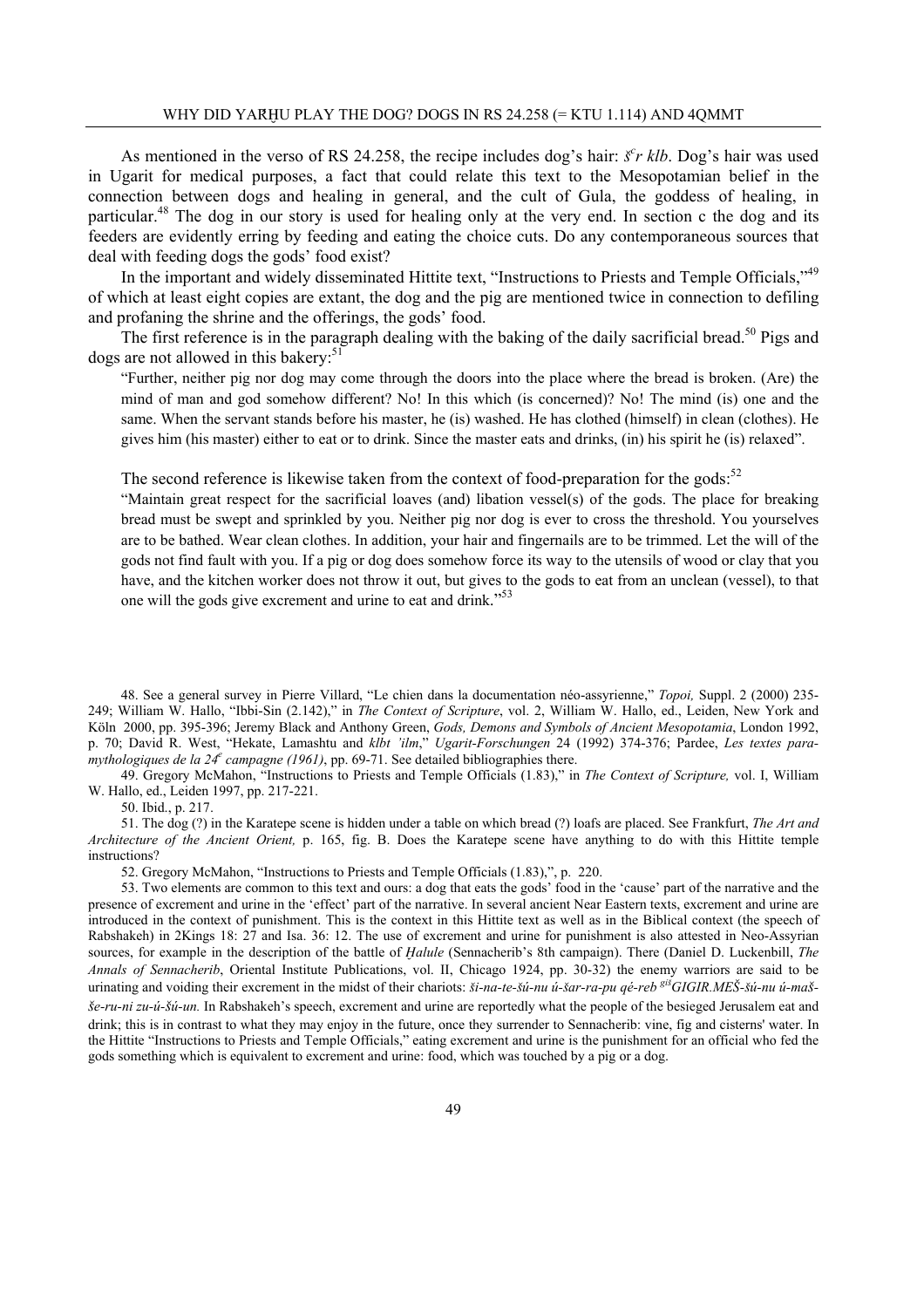As mentioned in the verso of RS 24.258, the recipe includes dog's hair:  $\zeta^c r$  klb. Dog's hair was used in Ugarit for medical purposes, a fact that could relate this text to the Mesopotamian belief in the connection between dogs and healing in general, and the cult of Gula, the goddess of healing, in particular.48 The dog in our story is used for healing only at the very end. In section c the dog and its feeders are evidently erring by feeding and eating the choice cuts. Do any contemporaneous sources that deal with feeding dogs the gods' food exist?

In the important and widely disseminated Hittite text, "Instructions to Priests and Temple Officials,"<sup>49</sup> of which at least eight copies are extant, the dog and the pig are mentioned twice in connection to defiling and profaning the shrine and the offerings, the gods' food.

The first reference is in the paragraph dealing with the baking of the daily sacrificial bread.<sup>50</sup> Pigs and dogs are not allowed in this bakery: $51$ 

"Further, neither pig nor dog may come through the doors into the place where the bread is broken. (Are) the mind of man and god somehow different? No! In this which (is concerned)? No! The mind (is) one and the same. When the servant stands before his master, he (is) washed. He has clothed (himself) in clean (clothes). He gives him (his master) either to eat or to drink. Since the master eats and drinks, (in) his spirit he (is) relaxed".

The second reference is likewise taken from the context of food-preparation for the gods: $52$ 

"Maintain great respect for the sacrificial loaves (and) libation vessel(s) of the gods. The place for breaking bread must be swept and sprinkled by you. Neither pig nor dog is ever to cross the threshold. You yourselves are to be bathed. Wear clean clothes. In addition, your hair and fingernails are to be trimmed. Let the will of the gods not find fault with you. If a pig or dog does somehow force its way to the utensils of wood or clay that you have, and the kitchen worker does not throw it out, but gives to the gods to eat from an unclean (vessel), to that one will the gods give excrement and urine to eat and drink."53

48. See a general survey in Pierre Villard, "Le chien dans la documentation néo-assyrienne," *Topoi,* Suppl. 2 (2000) 235- 249; William W. Hallo, "Ibbi-Sin (2.142)," in *The Context of Scripture*, vol. 2, William W. Hallo, ed., Leiden, New York and Köln 2000, pp. 395-396; Jeremy Black and Anthony Green, *Gods, Demons and Symbols of Ancient Mesopotamia*, London 1992, p. 70; David R. West, "Hekate, Lamashtu and *klbt 'ilm*," *Ugarit-Forschungen* 24 (1992) 374-376; Pardee, *Les textes paramythologiques de la 24<sup>e</sup> campagne (1961)*, pp. 69-71. See detailed bibliographies there.

49. Gregory McMahon, "Instructions to Priests and Temple Officials (1.83)," in *The Context of Scripture,* vol. I, William W. Hallo, ed., Leiden 1997, pp. 217-221.

50. Ibid., p. 217.

51. The dog (?) in the Karatepe scene is hidden under a table on which bread (?) loafs are placed. See Frankfurt, *The Art and Architecture of the Ancient Orient,* p. 165, fig. B. Does the Karatepe scene have anything to do with this Hittite temple instructions?

52. Gregory McMahon, "Instructions to Priests and Temple Officials (1.83),", p. 220.

53. Two elements are common to this text and ours: a dog that eats the gods' food in the 'cause' part of the narrative and the presence of excrement and urine in the 'effect' part of the narrative. In several ancient Near Eastern texts, excrement and urine are introduced in the context of punishment. This is the context in this Hittite text as well as in the Biblical context (the speech of Rabshakeh) in 2Kings 18: 27 and Isa. 36: 12. The use of excrement and urine for punishment is also attested in Neo-Assyrian sources, for example in the description of the battle of *Halule* (Sennacherib's 8th campaign). There (Daniel D. Luckenbill, *The Annals of Sennacherib*, Oriental Institute Publications, vol. II, Chicago 1924, pp. 30-32) the enemy warriors are said to be urinating and voiding their excrement in the midst of their chariots: ši-na-te-šú-nu ú-šar-ra-pu qé-reb <sup>giš</sup>GIGIR.MEŠ-šú-nu ú-maš-*'e-ru-ni zu-ú-'ú-un.* In Rabshakeh's speech, excrement and urine are reportedly what the people of the besieged Jerusalem eat and drink; this is in contrast to what they may enjoy in the future, once they surrender to Sennacherib: vine, fig and cisterns' water. In the Hittite "Instructions to Priests and Temple Officials," eating excrement and urine is the punishment for an official who fed the gods something which is equivalent to excrement and urine: food, which was touched by a pig or a dog.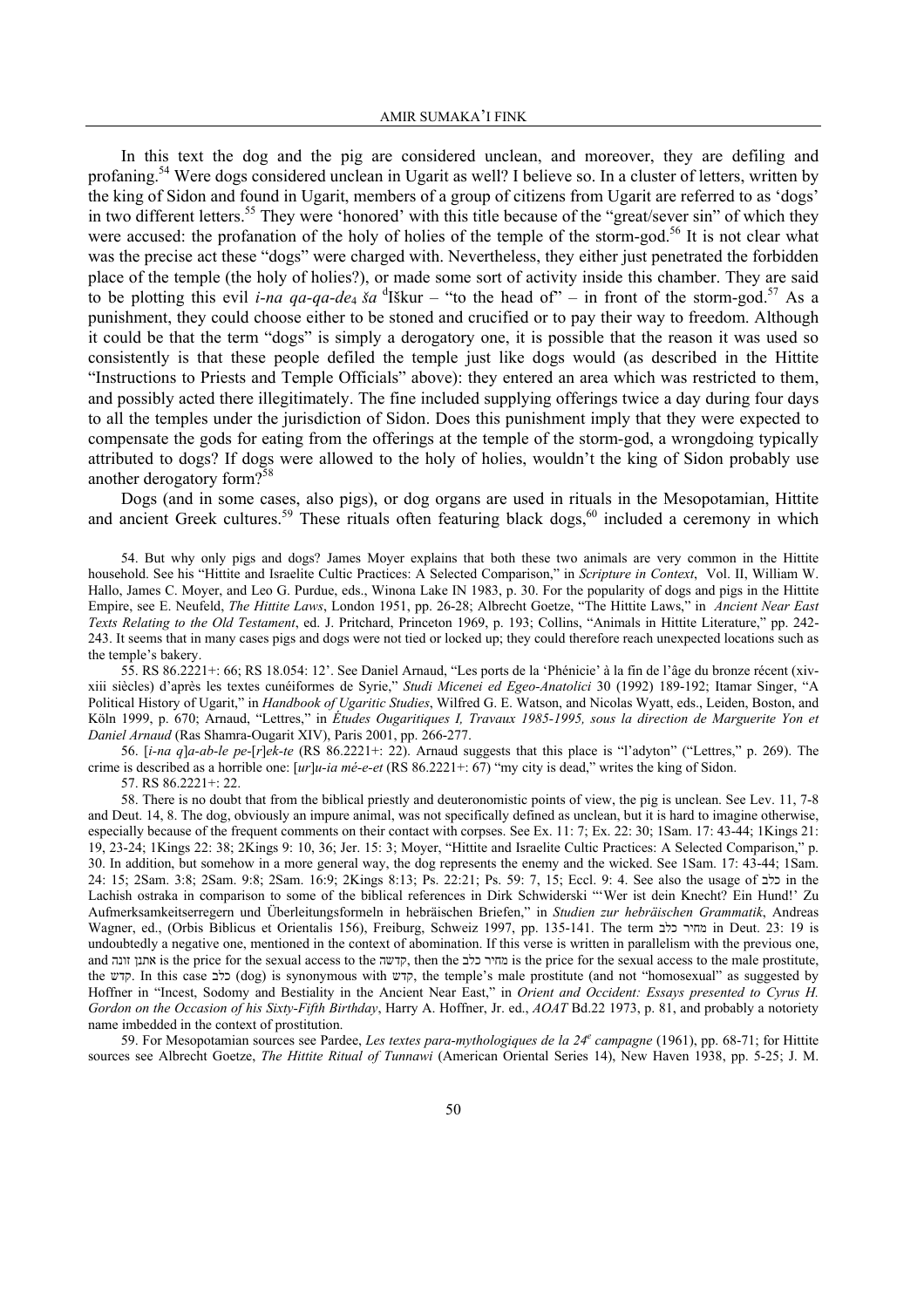In this text the dog and the pig are considered unclean, and moreover, they are defiling and profaning.54 Were dogs considered unclean in Ugarit as well? I believe so. In a cluster of letters, written by the king of Sidon and found in Ugarit, members of a group of citizens from Ugarit are referred to as 'dogs' in two different letters.<sup>55</sup> They were 'honored' with this title because of the "great/sever sin" of which they were accused: the profanation of the holy of holies of the temple of the storm-god.<sup>56</sup> It is not clear what was the precise act these "dogs" were charged with. Nevertheless, they either just penetrated the forbidden place of the temple (the holy of holies?), or made some sort of activity inside this chamber. They are said to be plotting this evil *i-na qa-qa-de<sub>4</sub>*  $\delta a$  <sup>d</sup>Iškur – "to the head of" – in front of the storm-god.<sup>57</sup> As a punishment, they could choose either to be stoned and crucified or to pay their way to freedom. Although it could be that the term "dogs" is simply a derogatory one, it is possible that the reason it was used so consistently is that these people defiled the temple just like dogs would (as described in the Hittite "Instructions to Priests and Temple Officials" above): they entered an area which was restricted to them, and possibly acted there illegitimately. The fine included supplying offerings twice a day during four days to all the temples under the jurisdiction of Sidon. Does this punishment imply that they were expected to compensate the gods for eating from the offerings at the temple of the storm-god, a wrongdoing typically attributed to dogs? If dogs were allowed to the holy of holies, wouldn't the king of Sidon probably use another derogatory form?<sup>58</sup>

 Dogs (and in some cases, also pigs), or dog organs are used in rituals in the Mesopotamian, Hittite and ancient Greek cultures.<sup>59</sup> These rituals often featuring black dogs,<sup>60</sup> included a ceremony in which

54. But why only pigs and dogs? James Moyer explains that both these two animals are very common in the Hittite household. See his "Hittite and Israelite Cultic Practices: A Selected Comparison," in *Scripture in Context*, Vol. II, William W. Hallo, James C. Moyer, and Leo G. Purdue, eds., Winona Lake IN 1983, p. 30. For the popularity of dogs and pigs in the Hittite Empire, see E. Neufeld, *The Hittite Laws*, London 1951, pp. 26-28; Albrecht Goetze, "The Hittite Laws," in *Ancient Near East Texts Relating to the Old Testament*, ed. J. Pritchard, Princeton 1969, p. 193; Collins, "Animals in Hittite Literature," pp. 242- 243. It seems that in many cases pigs and dogs were not tied or locked up; they could therefore reach unexpected locations such as the temple's bakery.

55. RS 86.2221+: 66; RS 18.054: 12'. See Daniel Arnaud, "Les ports de la 'Phénicie' à la fin de l'âge du bronze récent (xivxiii siècles) d'après les textes cunéiformes de Syrie," *Studi Micenei ed Egeo-Anatolici* 30 (1992) 189-192; Itamar Singer, "A Political History of Ugarit," in *Handbook of Ugaritic Studies*, Wilfred G. E. Watson, and Nicolas Wyatt, eds., Leiden, Boston, and Köln 1999, p. 670; Arnaud, "Lettres," in *Études Ougaritiques I, Travaux 1985-1995, sous la direction de Marguerite Yon et Daniel Arnaud* (Ras Shamra-Ougarit XIV), Paris 2001, pp. 266-277.

56. [*i-na q*]*a-ab-le pe-*[*r*]*ek-te* (RS 86.2221+: 22). Arnaud suggests that this place is "l'adyton" ("Lettres," p. 269). The crime is described as a horrible one: [*ur*]*u-ia mé-e-et* (RS 86.2221+: 67) "my city is dead," writes the king of Sidon.

57. RS 86.2221+: 22.

58. There is no doubt that from the biblical priestly and deuteronomistic points of view, the pig is unclean. See Lev. 11, 7-8 and Deut. 14, 8. The dog, obviously an impure animal, was not specifically defined as unclean, but it is hard to imagine otherwise, especially because of the frequent comments on their contact with corpses. See Ex. 11: 7; Ex. 22: 30; 1Sam. 17: 43-44; 1Kings 21: 19, 23-24; 1Kings 22: 38; 2Kings 9: 10, 36; Jer. 15: 3; Moyer, "Hittite and Israelite Cultic Practices: A Selected Comparison," p. 30. In addition, but somehow in a more general way, the dog represents the enemy and the wicked. See 1Sam. 17: 43-44; 1Sam. 24: 15; 2Sam. 3:8; 2Sam. 9:8; 2Sam. 16:9; 2Kings 8:13; Ps. 22:21; Ps. 59: 7, 15; Eccl. 9: 4. See also the usage of כלב in the Lachish ostraka in comparison to some of the biblical references in Dirk Schwiderski "'Wer ist dein Knecht? Ein Hund!' Zu Aufmerksamkeitserregern und Überleitungsformeln in hebräischen Briefen," in *Studien zur hebräischen Grammatik*, Andreas Wagner, ed., (Orbis Biblicus et Orientalis 156), Freiburg, Schweiz 1997, pp. 135-141. The term כלב מחיר in Deut. 23: 19 is undoubtedly a negative one, mentioned in the context of abomination. If this verse is written in parallelism with the previous one, and זונה אתנן is the price for the sexual access to the , קדשה then the כלב מחיר is the price for the sexual access to the male prostitute, the קדש. In this case כלב) dog) is synonymous with קדש, the temple's male prostitute (and not "homosexual" as suggested by Hoffner in "Incest, Sodomy and Bestiality in the Ancient Near East," in *Orient and Occident: Essays presented to Cyrus H. Gordon on the Occasion of his Sixty-Fifth Birthday*, Harry A. Hoffner, Jr. ed., *AOAT* Bd.22 1973, p. 81, and probably a notoriety name imbedded in the context of prostitution.

59. For Mesopotamian sources see Pardee, *Les textes para-mythologiques de la 24e campagne* (1961), pp. 68-71; for Hittite sources see Albrecht Goetze, *The Hittite Ritual of Tunnawi* (American Oriental Series 14), New Haven 1938, pp. 5-25; J. M.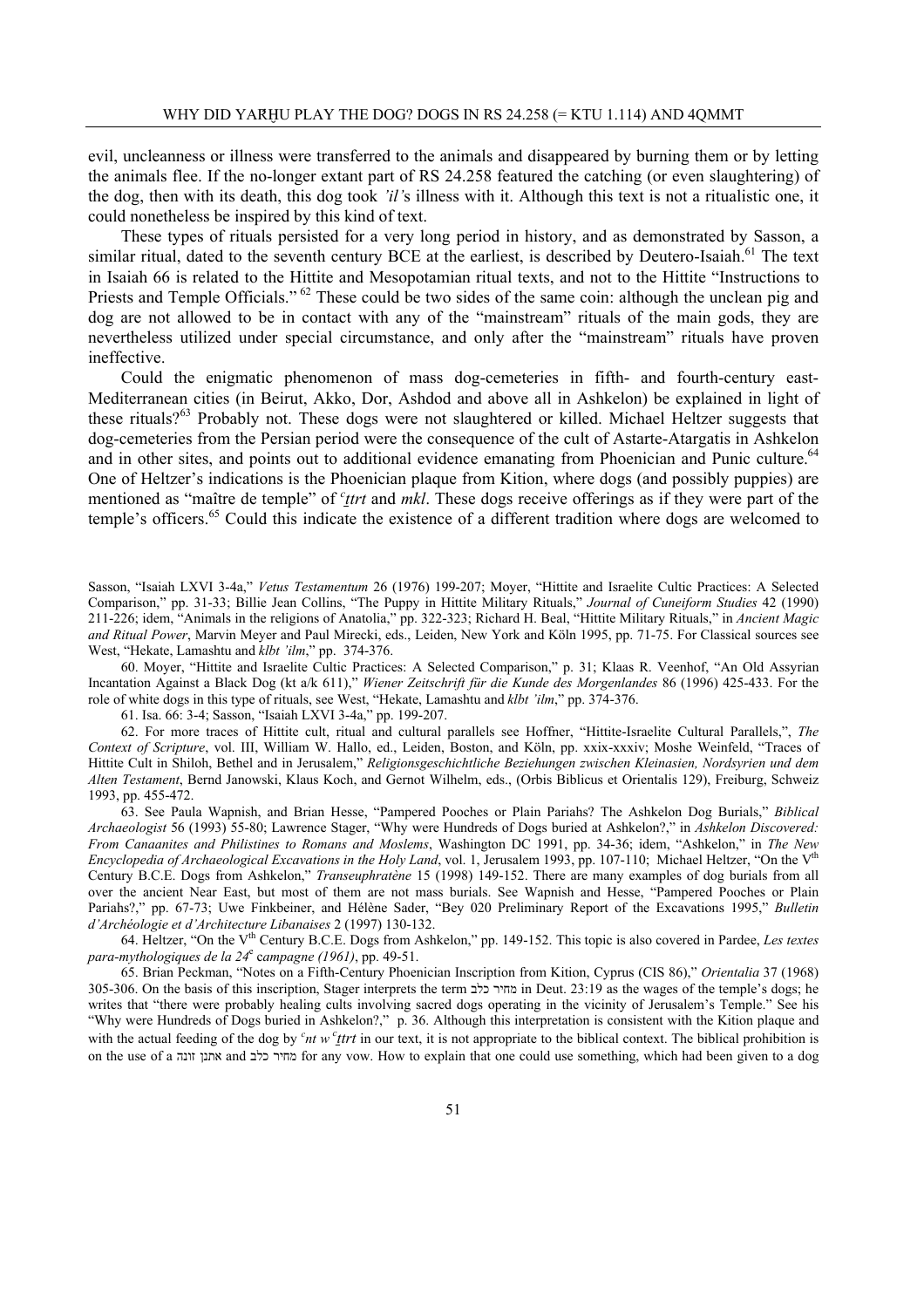evil, uncleanness or illness were transferred to the animals and disappeared by burning them or by letting the animals flee. If the no-longer extant part of RS 24.258 featured the catching (or even slaughtering) of the dog, then with its death, this dog took *'il'*s illness with it. Although this text is not a ritualistic one, it could nonetheless be inspired by this kind of text.

 These types of rituals persisted for a very long period in history, and as demonstrated by Sasson, a similar ritual, dated to the seventh century BCE at the earliest, is described by Deutero-Isaiah.<sup>61</sup> The text in Isaiah 66 is related to the Hittite and Mesopotamian ritual texts, and not to the Hittite "Instructions to Priests and Temple Officials." <sup>62</sup> These could be two sides of the same coin: although the unclean pig and dog are not allowed to be in contact with any of the "mainstream" rituals of the main gods, they are nevertheless utilized under special circumstance, and only after the "mainstream" rituals have proven ineffective.

 Could the enigmatic phenomenon of mass dog-cemeteries in fifth- and fourth-century east-Mediterranean cities (in Beirut, Akko, Dor, Ashdod and above all in Ashkelon) be explained in light of these rituals?<sup>63</sup> Probably not. These dogs were not slaughtered or killed. Michael Heltzer suggests that dog-cemeteries from the Persian period were the consequence of the cult of Astarte-Atargatis in Ashkelon and in other sites, and points out to additional evidence emanating from Phoenician and Punic culture.<sup>64</sup> One of Heltzer's indications is the Phoenician plaque from Kition, where dogs (and possibly puppies) are mentioned as "maître de temple" of <sup>*c*</sup> tert and *mkl*. These dogs receive offerings as if they were part of the temple's officers.<sup>65</sup> Could this indicate the existence of a different tradition where dogs are welcomed to

Sasson, "Isaiah LXVI 3-4a," *Vetus Testamentum* 26 (1976) 199-207; Moyer, "Hittite and Israelite Cultic Practices: A Selected Comparison," pp. 31-33; Billie Jean Collins, "The Puppy in Hittite Military Rituals," *Journal of Cuneiform Studies* 42 (1990) 211-226; idem, "Animals in the religions of Anatolia," pp. 322-323; Richard H. Beal, "Hittite Military Rituals," in *Ancient Magic and Ritual Power*, Marvin Meyer and Paul Mirecki, eds., Leiden, New York and Köln 1995, pp. 71-75. For Classical sources see West, "Hekate, Lamashtu and *klbt 'ilm*," pp. 374-376.

60. Moyer, "Hittite and Israelite Cultic Practices: A Selected Comparison," p. 31; Klaas R. Veenhof, "An Old Assyrian Incantation Against a Black Dog (kt a/k 611)," *Wiener Zeitschrift für die Kunde des Morgenlandes* 86 (1996) 425-433. For the role of white dogs in this type of rituals, see West, "Hekate, Lamashtu and *klbt 'ilm*," pp. 374-376.

61. Isa. 66: 3-4; Sasson, "Isaiah LXVI 3-4a," pp. 199-207.

62. For more traces of Hittite cult, ritual and cultural parallels see Hoffner, "Hittite-Israelite Cultural Parallels,", *The Context of Scripture*, vol. III, William W. Hallo, ed., Leiden, Boston, and Köln, pp. xxix-xxxiv; Moshe Weinfeld, "Traces of Hittite Cult in Shiloh, Bethel and in Jerusalem," *Religionsgeschichtliche Beziehungen zwischen Kleinasien, Nordsyrien und dem Alten Testament*, Bernd Janowski, Klaus Koch, and Gernot Wilhelm, eds., (Orbis Biblicus et Orientalis 129), Freiburg, Schweiz 1993, pp. 455-472.

63. See Paula Wapnish, and Brian Hesse, "Pampered Pooches or Plain Pariahs? The Ashkelon Dog Burials," *Biblical Archaeologist* 56 (1993) 55-80; Lawrence Stager, "Why were Hundreds of Dogs buried at Ashkelon?," in *Ashkelon Discovered: From Canaanites and Philistines to Romans and Moslems*, Washington DC 1991, pp. 34-36; idem, "Ashkelon," in *The New Encyclopedia of Archaeological Excavations in the Holy Land*, vol. 1, Jerusalem 1993, pp. 107-110; Michael Heltzer, "On the V<sup>th</sup> Century B.C.E. Dogs from Ashkelon," *Transeuphratène* 15 (1998) 149-152. There are many examples of dog burials from all over the ancient Near East, but most of them are not mass burials. See Wapnish and Hesse, "Pampered Pooches or Plain Pariahs?," pp. 67-73; Uwe Finkbeiner, and Hélène Sader, "Bey 020 Preliminary Report of the Excavations 1995," *Bulletin d'Archéologie et d'Architecture Libanaises* 2 (1997) 130-132.

64. Heltzer, "On the Vth Century B.C.E. Dogs from Ashkelon," pp. 149-152. This topic is also covered in Pardee, *Les textes para-mythologiques de la 24*<sup>e</sup> c*ampagne (1961)*, pp. 49-51.

65. Brian Peckman, "Notes on a Fifth-Century Phoenician Inscription from Kition, Cyprus (CIS 86)," *Orientalia* 37 (1968) 305-306. On the basis of this inscription, Stager interprets the term כלב מחיר in Deut. 23:19 as the wages of the temple's dogs; he writes that "there were probably healing cults involving sacred dogs operating in the vicinity of Jerusalem's Temple." See his "Why were Hundreds of Dogs buried in Ashkelon?," p. 36. Although this interpretation is consistent with the Kition plaque and with the actual feeding of the dog by  $c$ <sub>nt</sub> w  $c$ <sub>*ttrt*</sub> in our text, it is not appropriate to the biblical context. The biblical prohibition is on the use of a זונה אתנן and כלב מחיר for any vow. How to explain that one could use something, which had been given to a dog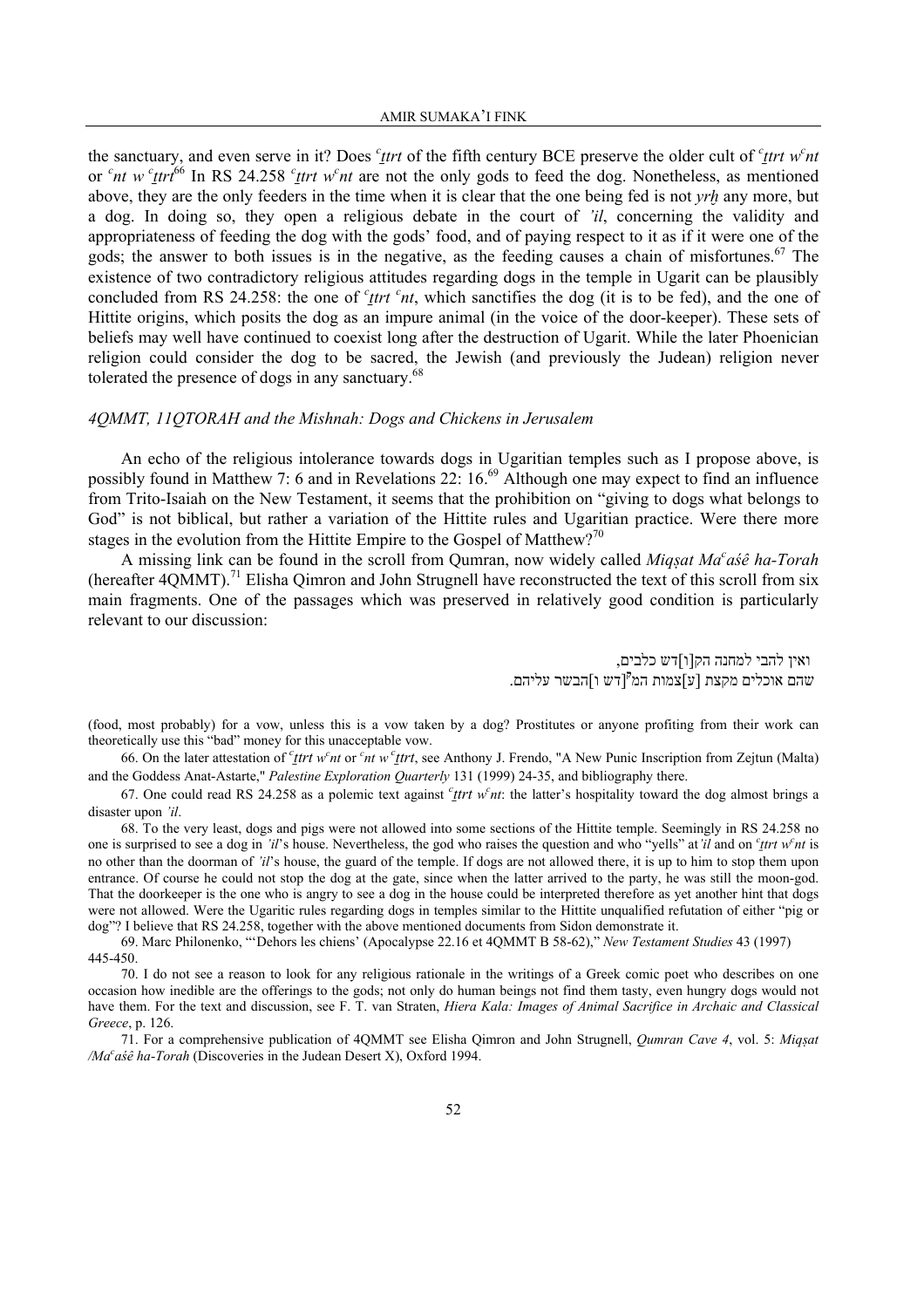the sanctuary, and even serve in it? Does *<sup>c</sup>*<sub>*ttrt*</sub> of the fifth century BCE preserve the older cult of *<sup>c</sup>*<sub>*ttrt*</sub> *w<sup><i>c*</sup><sub>nt</sub> or <sup>c</sup>nt w <sup>c</sup><sub>Ltrt</sub><sup>66</sup> In RS 24.258 <sup>c</sup><sub>Ltrt</sub> w<sup>c</sup>nt are not the only gods to feed the dog. Nonetheless, as mentioned above, they are the only feeders in the time when it is clear that the one being fed is not *yrh* any more, but a dog. In doing so, they open a religious debate in the court of *'il*, concerning the validity and appropriateness of feeding the dog with the gods' food, and of paying respect to it as if it were one of the gods; the answer to both issues is in the negative, as the feeding causes a chain of misfortunes.<sup>67</sup> The existence of two contradictory religious attitudes regarding dogs in the temple in Ugarit can be plausibly concluded from RS 24.258: the one of  $c$ <sup>t</sup> *t t*  $c$ <sup>*nt*</sup>, which sanctifies the dog (it is to be fed), and the one of Hittite origins, which posits the dog as an impure animal (in the voice of the door-keeper). These sets of beliefs may well have continued to coexist long after the destruction of Ugarit. While the later Phoenician religion could consider the dog to be sacred, the Jewish (and previously the Judean) religion never tolerated the presence of dogs in any sanctuary.<sup>68</sup>

### *4QMMT, 11QTORAH and the Mishnah: Dogs and Chickens in Jerusalem*

 An echo of the religious intolerance towards dogs in Ugaritian temples such as I propose above, is possibly found in Matthew 7: 6 and in Revelations 22: 16.<sup>69</sup> Although one may expect to find an influence from Trito-Isaiah on the New Testament, it seems that the prohibition on "giving to dogs what belongs to God" is not biblical, but rather a variation of the Hittite rules and Ugaritian practice. Were there more stages in the evolution from the Hittite Empire to the Gospel of Matthew?<sup>70</sup>

 A missing link can be found in the scroll from Qumran, now widely called *Miq§at Ma<sup>c</sup> aśê ha-Torah* (hereafter 4QMMT).<sup>71</sup> Elisha Qimron and John Strugnell have reconstructed the text of this scroll from six main fragments. One of the passages which was preserved in relatively good condition is particularly relevant to our discussion:

> ואין להבי למחנה הק[ו]דש כלבים, [דש ו]הבשר עליהם. **<sup>ק</sup>** שהם אוכלים מקצת [ע]צמות המ

(food, most probably) for a vow, unless this is a vow taken by a dog? Prostitutes or anyone profiting from their work can theoretically use this "bad" money for this unacceptable vow.

66. On the later attestation of <sup>*c*</sup><sub>Le</sub> *ttrt* w<sup>*c*</sup> or  $c$ <sup>*nt*</sup> w<sup>*c*</sup><sub>Le</sub> *ttrt*, see Anthony J. Frendo, "A New Punic Inscription from Zejtun (Malta) and the Goddess Anat-Astarte," *Palestine Exploration Quarterly* 131 (1999) 24-35, and bibliography there.

67. One could read RS 24.258 as a polemic text against  $c$ <sub>*ttrt w<sup>c</sup>nt*: the latter's hospitality toward the dog almost brings a</sub> disaster upon *'il*.

68. To the very least, dogs and pigs were not allowed into some sections of the Hittite temple. Seemingly in RS 24.258 no one is surprised to see a dog in *'il'*s house. Nevertheless, the god who raises the question and who "yells" at *'il* and on *'ttrt* w<sup>c</sup>nt is no other than the doorman of *'il's* house, the guard of the temple. If dogs are not allowed there, it is up to him to stop them upon entrance. Of course he could not stop the dog at the gate, since when the latter arrived to the party, he was still the moon-god. That the doorkeeper is the one who is angry to see a dog in the house could be interpreted therefore as yet another hint that dogs were not allowed. Were the Ugaritic rules regarding dogs in temples similar to the Hittite unqualified refutation of either "pig or dog"? I believe that RS 24.258, together with the above mentioned documents from Sidon demonstrate it.

69. Marc Philonenko, "'Dehors les chiens' (Apocalypse 22.16 et 4QMMT B 58-62)," *New Testament Studies* 43 (1997) 445-450.

70. I do not see a reason to look for any religious rationale in the writings of a Greek comic poet who describes on one occasion how inedible are the offerings to the gods; not only do human beings not find them tasty, even hungry dogs would not have them. For the text and discussion, see F. T. van Straten, *Hiera Kala: Images of Animal Sacrifice in Archaic and Classical Greece*, p. 126.

71. For a comprehensive publication of 4QMMT see Elisha Qimron and John Strugnell, *Qumran Cave 4*, vol. 5: *Miq§at /Mac aśê ha-Torah* (Discoveries in the Judean Desert X), Oxford 1994.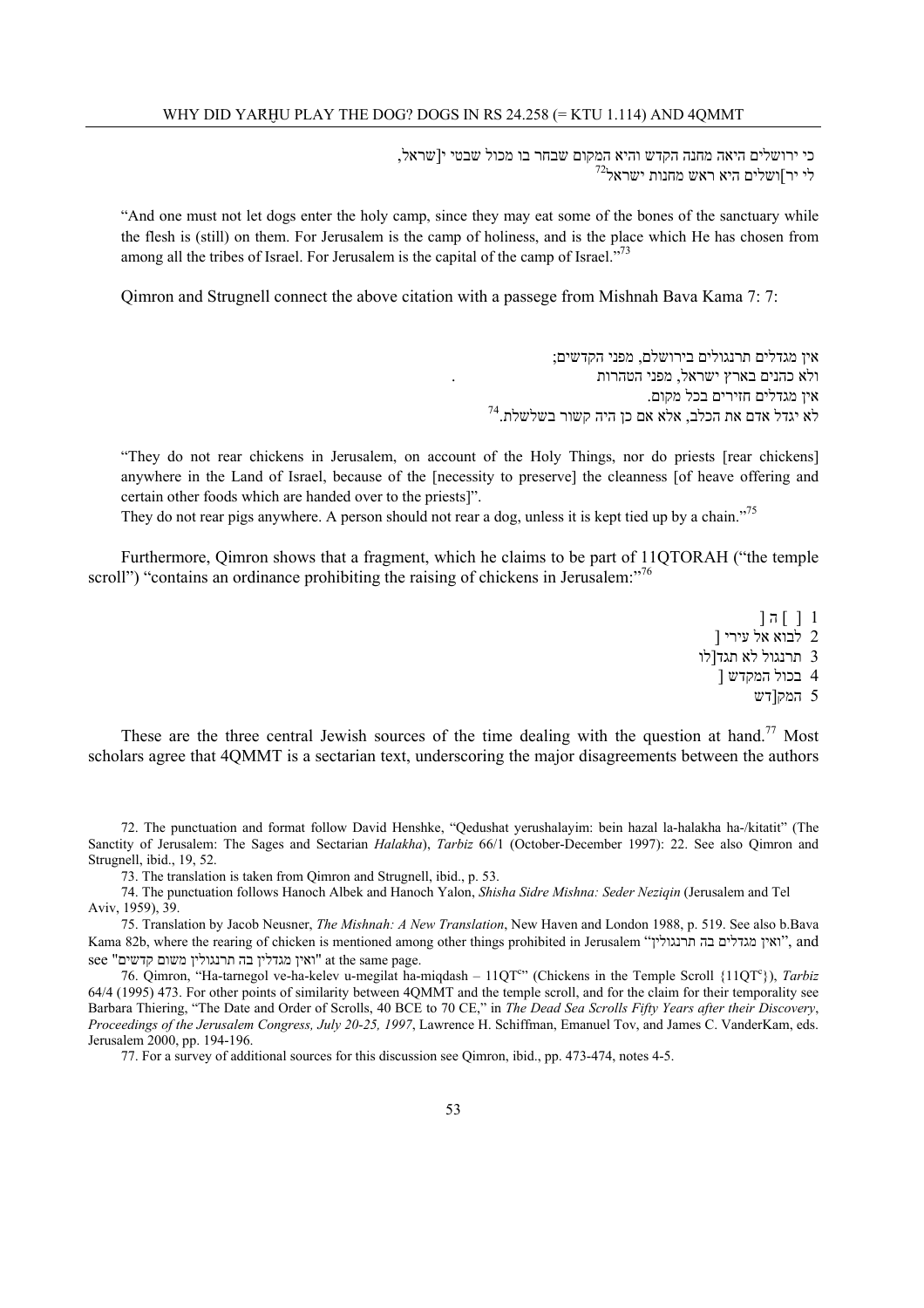כי ירושלים היאה מחנה הקדש והיא המקום שבחר בו מכול שבטי י[שראל,  $^{72}$ יר]ושלים היא ראש מחנות ישראל

"And one must not let dogs enter the holy camp, since they may eat some of the bones of the sanctuary while the flesh is (still) on them. For Jerusalem is the camp of holiness, and is the place which He has chosen from among all the tribes of Israel. For Jerusalem is the capital of the camp of Israel."<sup>73</sup>

Qimron and Strugnell connect the above citation with a passege from Mishnah Bava Kama 7: 7:

אין מגדלים תרנגולים בירושלם, מפני הקדשים; ולא כהנים בארץ ישראל, מפני הטהרות . אין מגדלים חזירים בכל מקום. לא יגדל אדם את הכלב, אלא אם כן היה קשור בשלשלת 74.

"They do not rear chickens in Jerusalem, on account of the Holy Things, nor do priests [rear chickens] anywhere in the Land of Israel, because of the [necessity to preserve] the cleanness [of heave offering and certain other foods which are handed over to the priests]".

They do not rear pigs anywhere. A person should not rear a dog, unless it is kept tied up by a chain."<sup>75</sup>

 Furthermore, Qimron shows that a fragment, which he claims to be part of 11QTORAH ("the temple scroll") "contains an ordinance prohibiting the raising of chickens in Jerusalem:"<sup>76</sup>

> $]$  ה  $[$   $]$   $]$ 2 לבוא אל עירי [ 3 תרנגול לא תגד[לו 4 בכול המקדש [ 5 המק[דש

These are the three central Jewish sources of the time dealing with the question at hand.<sup>77</sup> Most scholars agree that 4QMMT is a sectarian text, underscoring the major disagreements between the authors

72. The punctuation and format follow David Henshke, "Qedushat yerushalayim: bein hazal la-halakha ha-/kitatit" (The Sanctity of Jerusalem: The Sages and Sectarian *Halakha*), *Tarbiz* 66/1 (October-December 1997): 22. See also Qimron and Strugnell, ibid., 19, 52.

73. The translation is taken from Qimron and Strugnell, ibid., p. 53.

74. The punctuation follows Hanoch Albek and Hanoch Yalon, *Shisha Sidre Mishna: Seder Neziqin* (Jerusalem and Tel Aviv, 1959), 39.

75. Translation by Jacob Neusner, *The Mishnah: A New Translation*, New Haven and London 1988, p. 519. See also b.Bava Kama 82b, where the rearing of chicken is mentioned among other things prohibited in Jerusalem "תרנגולין בה מגדלים ואין", and see "ואין מגדלין בה תרנגולין משום קדשים" at the same page.

76. Qimron, "Ha-tarnegol ve-ha-kelev u-megilat ha-miqdash – 11QT<sup>c</sup>" (Chickens in the Temple Scroll {11QT<sup>c</sup>}), *Tarbiz* 64/4 (1995) 473. For other points of similarity between 4QMMT and the temple scroll, and for the claim for their temporality see Barbara Thiering, "The Date and Order of Scrolls, 40 BCE to 70 CE," in *The Dead Sea Scrolls Fifty Years after their Discovery*, *Proceedings of the Jerusalem Congress, July 20-25, 1997*, Lawrence H. Schiffman, Emanuel Tov, and James C. VanderKam, eds. Jerusalem 2000, pp. 194-196.

77. For a survey of additional sources for this discussion see Qimron, ibid., pp. 473-474, notes 4-5.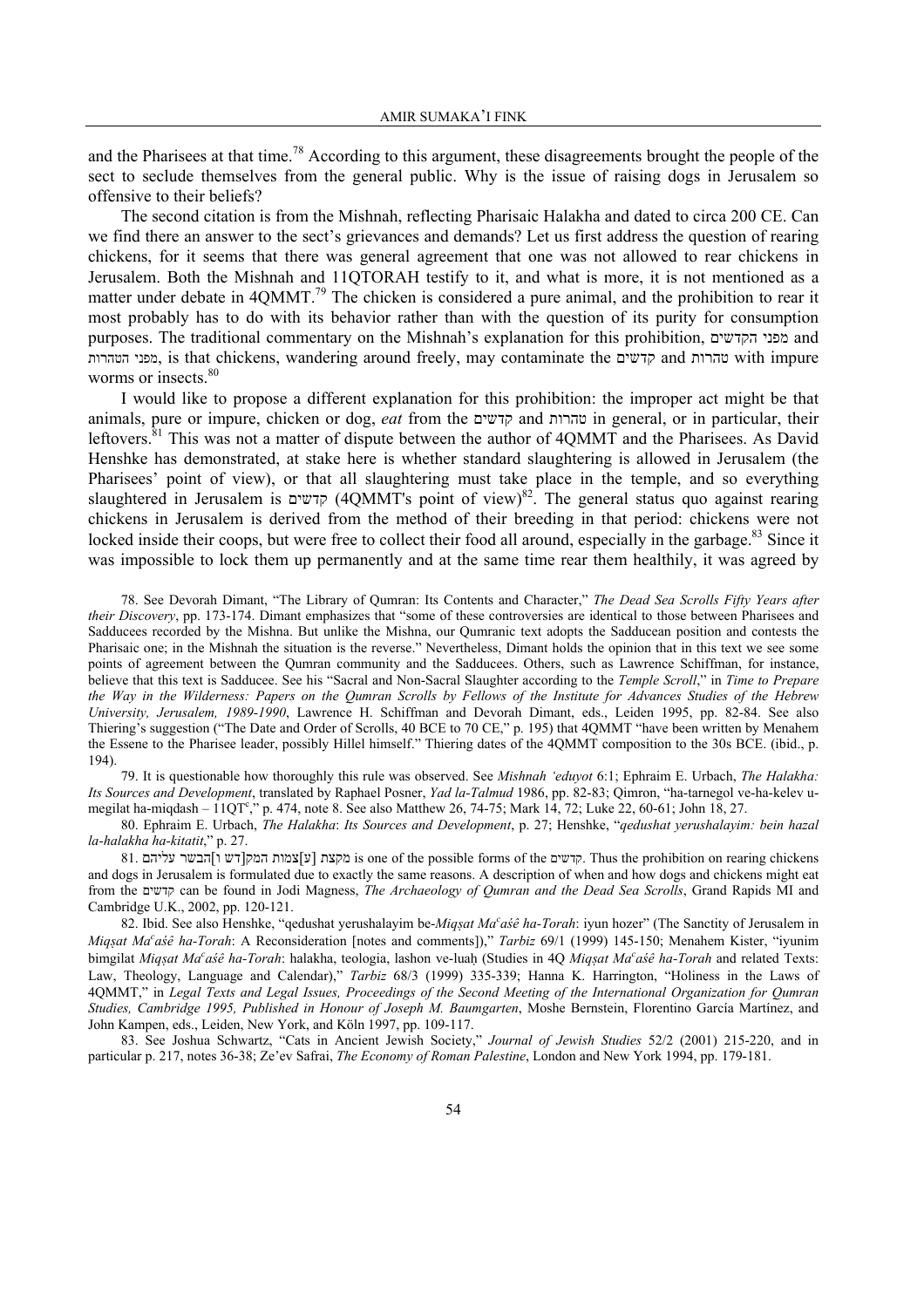and the Pharisees at that time.<sup>78</sup> According to this argument, these disagreements brought the people of the sect to seclude themselves from the general public. Why is the issue of raising dogs in Jerusalem so offensive to their beliefs?

 The second citation is from the Mishnah, reflecting Pharisaic Halakha and dated to circa 200 CE. Can we find there an answer to the sect's grievances and demands? Let us first address the question of rearing chickens, for it seems that there was general agreement that one was not allowed to rear chickens in Jerusalem. Both the Mishnah and 11QTORAH testify to it, and what is more, it is not mentioned as a matter under debate in 4QMMT.<sup>79</sup> The chicken is considered a pure animal, and the prohibition to rear it most probably has to do with its behavior rather than with the question of its purity for consumption purposes. The traditional commentary on the Mishnah's explanation for this prohibition, הקדשים מפני and הטהרות מפני, is that chickens, wandering around freely, may contaminate the קדשים and טהרות with impure worms or insects.<sup>80</sup>

 I would like to propose a different explanation for this prohibition: the improper act might be that animals, pure or impure, chicken or dog, *eat* from the קדשים and טהרות in general, or in particular, their leftovers.<sup>81</sup> This was not a matter of dispute between the author of 4OMMT and the Pharisees. As David Henshke has demonstrated, at stake here is whether standard slaughtering is allowed in Jerusalem (the Pharisees' point of view), or that all slaughtering must take place in the temple, and so everything slaughtered in Jerusalem is קדשים) 4QMMT's point of view)82. The general status quo against rearing chickens in Jerusalem is derived from the method of their breeding in that period: chickens were not locked inside their coops, but were free to collect their food all around, especially in the garbage.<sup>83</sup> Since it was impossible to lock them up permanently and at the same time rear them healthily, it was agreed by

78. See Devorah Dimant, "The Library of Qumran: Its Contents and Character," *The Dead Sea Scrolls Fifty Years after their Discovery*, pp. 173-174. Dimant emphasizes that "some of these controversies are identical to those between Pharisees and Sadducees recorded by the Mishna. But unlike the Mishna, our Qumranic text adopts the Sadducean position and contests the Pharisaic one; in the Mishnah the situation is the reverse." Nevertheless, Dimant holds the opinion that in this text we see some points of agreement between the Qumran community and the Sadducees. Others, such as Lawrence Schiffman, for instance, believe that this text is Sadducee. See his "Sacral and Non-Sacral Slaughter according to the *Temple Scroll*," in *Time to Prepare the Way in the Wilderness: Papers on the Qumran Scrolls by Fellows of the Institute for Advances Studies of the Hebrew University, Jerusalem, 1989-1990*, Lawrence H. Schiffman and Devorah Dimant, eds., Leiden 1995, pp. 82-84. See also Thiering's suggestion ("The Date and Order of Scrolls, 40 BCE to 70 CE," p. 195) that 4QMMT "have been written by Menahem the Essene to the Pharisee leader, possibly Hillel himself." Thiering dates of the 4QMMT composition to the 30s BCE. (ibid., p. 194).

79. It is questionable how thoroughly this rule was observed. See *Mishnah 'eduyot* 6:1; Ephraim E. Urbach, *The Halakha: Its Sources and Development*, translated by Raphael Posner, *Yad la-Talmud* 1986, pp. 82-83; Qimron, "ha-tarnegol ve-ha-kelev umegilat ha-miqdash –  $11QT^c$ ," p. 474, note 8. See also Matthew 26, 74-75; Mark 14, 72; Luke 22, 60-61; John 18, 27.

80. Ephraim E. Urbach, *The Halakha*: *Its Sources and Development*, p. 27; Henshke, "*qedushat yerushalayim: bein hazal la-halakha ha-kitatit*," p. 27.

81. מקצת [ע] המק| דש [ מקצת is one of the possible forms of the קדשים. Thus the prohibition on rearing chickens and dogs in Jerusalem is formulated due to exactly the same reasons. A description of when and how dogs and chickens might eat from the קדשים can be found in Jodi Magness, *The Archaeology of Qumran and the Dead Sea Scrolls*, Grand Rapids MI and Cambridge U.K., 2002, pp. 120-121.

82. Ibid. See also Henshke, "qedushat yerushalayim be-*Miq§at Mac aśê ha-Torah*: iyun hozer" (The Sanctity of Jerusalem in *Miq§at Ma<sup>c</sup> aśê ha-Torah*: A Reconsideration [notes and comments])," *Tarbiz* 69/1 (1999) 145-150; Menahem Kister, "iyunim bimgilat Miq*şat Ma<sup>c</sup>aśê ha-Torah*: halakha, teologia, lashon ve-luaḥ (Studies in 4Q Miq*şat Ma<sup>c</sup>aśê ha-Torah* and related Texts: Law, Theology, Language and Calendar)," *Tarbiz* 68/3 (1999) 335-339; Hanna K. Harrington, "Holiness in the Laws of 4QMMT," in *Legal Texts and Legal Issues, Proceedings of the Second Meeting of the International Organization for Qumran Studies, Cambridge 1995, Published in Honour of Joseph M. Baumgarten*, Moshe Bernstein, Florentino García Martínez, and John Kampen, eds., Leiden, New York, and Köln 1997, pp. 109-117.

83. See Joshua Schwartz, "Cats in Ancient Jewish Society," *Journal of Jewish Studies* 52/2 (2001) 215-220, and in particular p. 217, notes 36-38; Ze'ev Safrai, *The Economy of Roman Palestine*, London and New York 1994, pp. 179-181.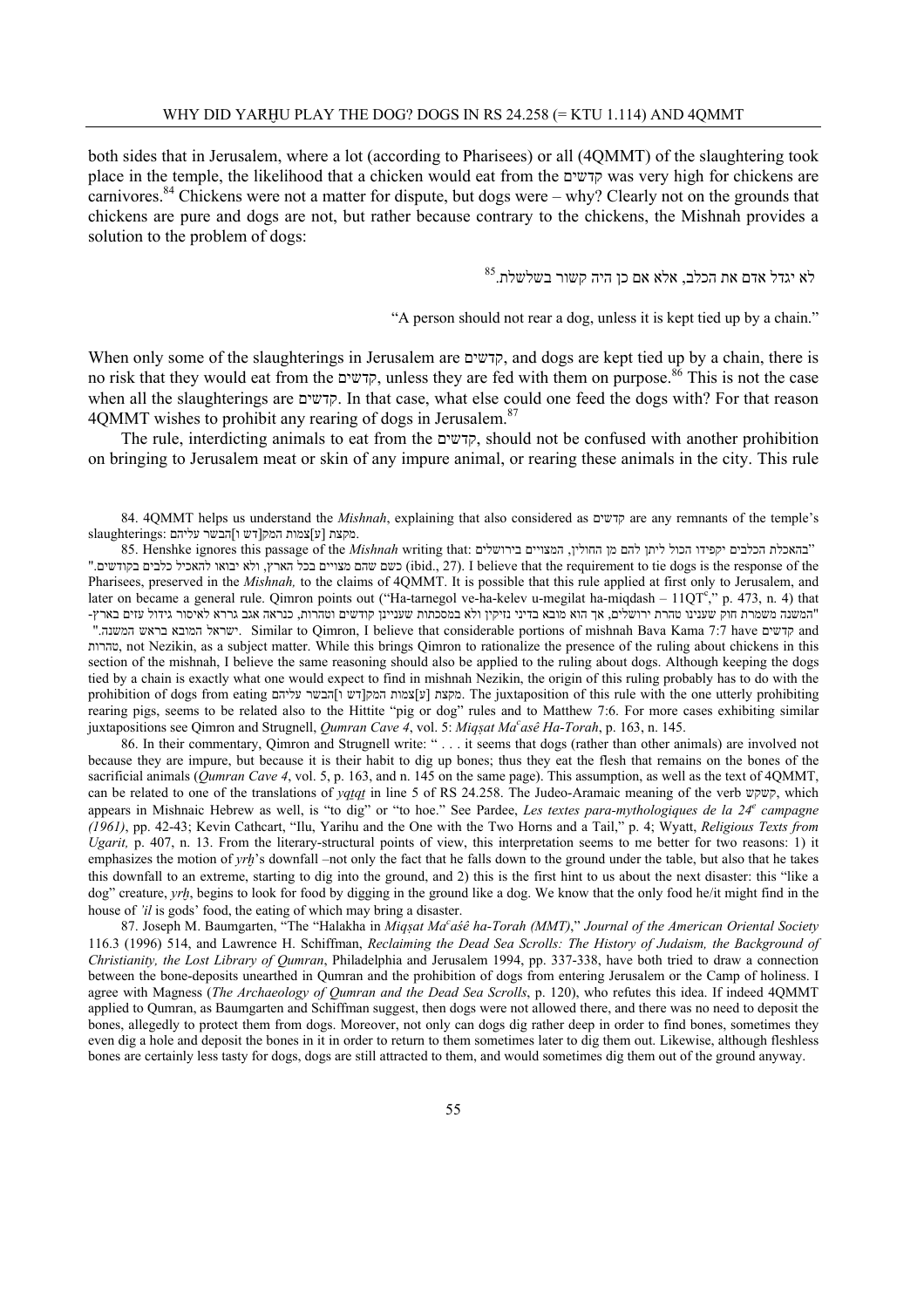both sides that in Jerusalem, where a lot (according to Pharisees) or all (4QMMT) of the slaughtering took place in the temple, the likelihood that a chicken would eat from the קדשים was very high for chickens are carnivores.<sup>84</sup> Chickens were not a matter for dispute, but dogs were – why? Clearly not on the grounds that chickens are pure and dogs are not, but rather because contrary to the chickens, the Mishnah provides a solution to the problem of dogs:

 $^{85}\!$ לא יגדל אדם את הכלב, אלא אם כן היה קשור בשלשלת

"A person should not rear a dog, unless it is kept tied up by a chain."

When only some of the slaughterings in Jerusalem are קדשים, and dogs are kept tied up by a chain, there is no risk that they would eat from the קדשים, unless they are fed with them on purpose.86 This is not the case when all the slaughterings are קדשים. In that case, what else could one feed the dogs with? For that reason 4OMMT wishes to prohibit any rearing of dogs in Jerusalem.<sup>87</sup>

 The rule, interdicting animals to eat from the קדשים, should not be confused with another prohibition on bringing to Jerusalem meat or skin of any impure animal, or rearing these animals in the city. This rule

84. 4QMMT helps us understand the *Mishnah*, explaining that also considered as קדשים are any remnants of the temple's slaughterings: מקצת [ע]צמות המק[דש ו]הבשר עליהם.

 "בהאכלת הכלבים יקפידו הכול ליתן להם מן החולין, המצויים בירושלים :that writing *Mishnah* the of passage this ignores Henshke 85. ". (לא יבואו להאכיל כלבים בקודשים (ibid., 27). I believe that the requirement to tie dogs is the response of the Pharisees, preserved in the *Mishnah*, to the claims of 4QMMT. It is possible that this rule applied at first only to Jerusalem, and later on became a general rule. Qimron points out ("Ha-tarnegol ve-ha-kelev u-megilat ha-miqdash –  $11QT^c$ ," p. 473, n. 4) that "המשנה משמרת חוק שענינו טהרת ירושלים, אך הוא מובא בדיני נזיקין ולא במסכתות שעניינן קודשים וטהרות, כנראה אגב גררא לאיסור גידול עזים בארץ- ". Similar to Qimron, I believe that considerable portions of mishnah Bava Kama 7:7 have קדשים, and טהרות, not Nezikin, as a subject matter. While this brings Qimron to rationalize the presence of the ruling about chickens in this section of the mishnah, I believe the same reasoning should also be applied to the ruling about dogs. Although keeping the dogs tied by a chain is exactly what one would expect to find in mishnah Nezikin, the origin of this ruling probably has to do with the prohibition of dogs from eating תקצת [ עליהם [ מקצת [ עליהם]

Ine juxtaposition of this rule with the one utterly prohibiting rearing pigs, seems to be related also to the Hittite "pig or dog" rules and to Matthew 7:6. For more cases exhibiting similar juxtapositions see Qimron and Strugnell, *Qumran Cave 4*, vol. 5: *Miq§at Mac asê Ha-Torah*, p. 163, n. 145.

86. In their commentary, Qimron and Strugnell write: " . . . it seems that dogs (rather than other animals) are involved not because they are impure, but because it is their habit to dig up bones; thus they eat the flesh that remains on the bones of the sacrificial animals (*Qumran Cave 4*, vol. 5, p. 163, and n. 145 on the same page). This assumption, as well as the text of 4QMMT, can be related to one of the translations of *yq¨q¨* in line 5 of RS 24.258. The Judeo-Aramaic meaning of the verb קשקש, which appears in Mishnaic Hebrew as well, is "to dig" or "to hoe." See Pardee, Les textes para-mythologiques de la 24<sup>e</sup> campagne *(1961)*, pp. 42-43; Kevin Cathcart, "Ilu, Yarihu and the One with the Two Horns and a Tail," p. 4; Wyatt, *Religious Texts from Ugarit,* p. 407, n. 13. From the literary-structural points of view, this interpretation seems to me better for two reasons: 1) it emphasizes the motion of *yrh*'s downfall –not only the fact that he falls down to the ground under the table, but also that he takes this downfall to an extreme, starting to dig into the ground, and 2) this is the first hint to us about the next disaster: this "like a dog" creature, *yrh*, begins to look for food by digging in the ground like a dog. We know that the only food he/it might find in the house of *'il* is gods' food, the eating of which may bring a disaster.

87. Joseph M. Baumgarten, "The "Halakha in Miqșat Ma<sup>c</sup>aśê ha-Torah (MMT)," Journal of the American Oriental Society 116.3 (1996) 514, and Lawrence H. Schiffman, *Reclaiming the Dead Sea Scrolls: The History of Judaism, the Background of Christianity, the Lost Library of Qumran*, Philadelphia and Jerusalem 1994, pp. 337-338, have both tried to draw a connection between the bone-deposits unearthed in Qumran and the prohibition of dogs from entering Jerusalem or the Camp of holiness. I agree with Magness (*The Archaeology of Qumran and the Dead Sea Scrolls*, p. 120), who refutes this idea. If indeed 4QMMT applied to Qumran, as Baumgarten and Schiffman suggest, then dogs were not allowed there, and there was no need to deposit the bones, allegedly to protect them from dogs. Moreover, not only can dogs dig rather deep in order to find bones, sometimes they even dig a hole and deposit the bones in it in order to return to them sometimes later to dig them out. Likewise, although fleshless bones are certainly less tasty for dogs, dogs are still attracted to them, and would sometimes dig them out of the ground anyway.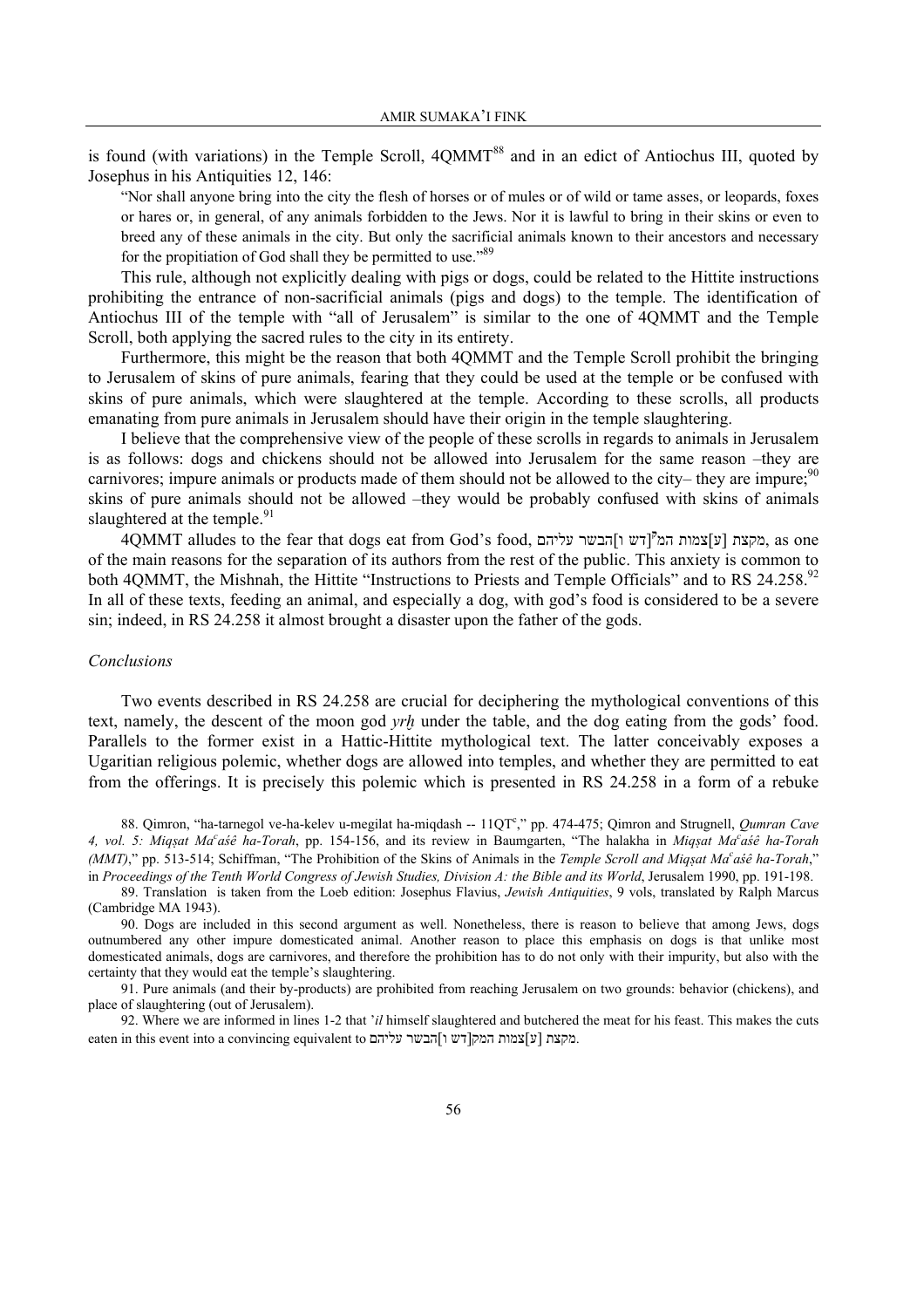is found (with variations) in the Temple Scroll,  $4QMMT^{88}$  and in an edict of Antiochus III, quoted by Josephus in his Antiquities 12, 146:

"Nor shall anyone bring into the city the flesh of horses or of mules or of wild or tame asses, or leopards, foxes or hares or, in general, of any animals forbidden to the Jews. Nor it is lawful to bring in their skins or even to breed any of these animals in the city. But only the sacrificial animals known to their ancestors and necessary for the propitiation of God shall they be permitted to use."<sup>89</sup>

 This rule, although not explicitly dealing with pigs or dogs, could be related to the Hittite instructions prohibiting the entrance of non-sacrificial animals (pigs and dogs) to the temple. The identification of Antiochus III of the temple with "all of Jerusalem" is similar to the one of 4QMMT and the Temple Scroll, both applying the sacred rules to the city in its entirety.

 Furthermore, this might be the reason that both 4QMMT and the Temple Scroll prohibit the bringing to Jerusalem of skins of pure animals, fearing that they could be used at the temple or be confused with skins of pure animals, which were slaughtered at the temple. According to these scrolls, all products emanating from pure animals in Jerusalem should have their origin in the temple slaughtering.

 I believe that the comprehensive view of the people of these scrolls in regards to animals in Jerusalem is as follows: dogs and chickens should not be allowed into Jerusalem for the same reason –they are carnivores; impure animals or products made of them should not be allowed to the city– they are impure; $90$ skins of pure animals should not be allowed –they would be probably confused with skins of animals slaughtered at the temple.<sup>91</sup>

 4QMMT alludes to the fear that dogs eat from God's food, המ צמות]ע [מקצת **<sup>ק</sup>** עליהם הבשר]ו דש [, as one of the main reasons for the separation of its authors from the rest of the public. This anxiety is common to both 4QMMT, the Mishnah, the Hittite "Instructions to Priests and Temple Officials" and to RS 24.258.<sup>92</sup> In all of these texts, feeding an animal, and especially a dog, with god's food is considered to be a severe sin; indeed, in RS 24.258 it almost brought a disaster upon the father of the gods.

#### *Conclusions*

 Two events described in RS 24.258 are crucial for deciphering the mythological conventions of this text, namely, the descent of the moon god *yrh* under the table, and the dog eating from the gods' food. Parallels to the former exist in a Hattic-Hittite mythological text. The latter conceivably exposes a Ugaritian religious polemic, whether dogs are allowed into temples, and whether they are permitted to eat from the offerings. It is precisely this polemic which is presented in RS 24.258 in a form of a rebuke

88. Qimron, "ha-tarnegol ve-ha-kelev u-megilat ha-miqdash -- 11QT<sup>c</sup>," pp. 474-475; Qimron and Strugnell, *Qumran Cave 4, vol. 5: Miq§at Ma<sup>c</sup> aśê ha-Torah*, pp. 154-156, and its review in Baumgarten, "The halakha in *Miq§at Ma<sup>c</sup> aśê ha-Torah (MMT)*," pp. 513-514; Schiffman, "The Prohibition of the Skins of Animals in the *Temple Scroll and Miq§at Ma<sup>c</sup> aśê ha-Torah*," in *Proceedings of the Tenth World Congress of Jewish Studies, Division A: the Bible and its World, Jerusalem 1990, pp. 191-198.* 

89. Translation is taken from the Loeb edition: Josephus Flavius, *Jewish Antiquities*, 9 vols, translated by Ralph Marcus (Cambridge MA 1943).

90. Dogs are included in this second argument as well. Nonetheless, there is reason to believe that among Jews, dogs outnumbered any other impure domesticated animal. Another reason to place this emphasis on dogs is that unlike most domesticated animals, dogs are carnivores, and therefore the prohibition has to do not only with their impurity, but also with the certainty that they would eat the temple's slaughtering.

91. Pure animals (and their by-products) are prohibited from reaching Jerusalem on two grounds: behavior (chickens), and place of slaughtering (out of Jerusalem).

92. Where we are informed in lines 1-2 that '*il* himself slaughtered and butchered the meat for his feast. This makes the cuts eaten in this event into a convincing equivalent to מקצת [ע]צמות המק[דש ו]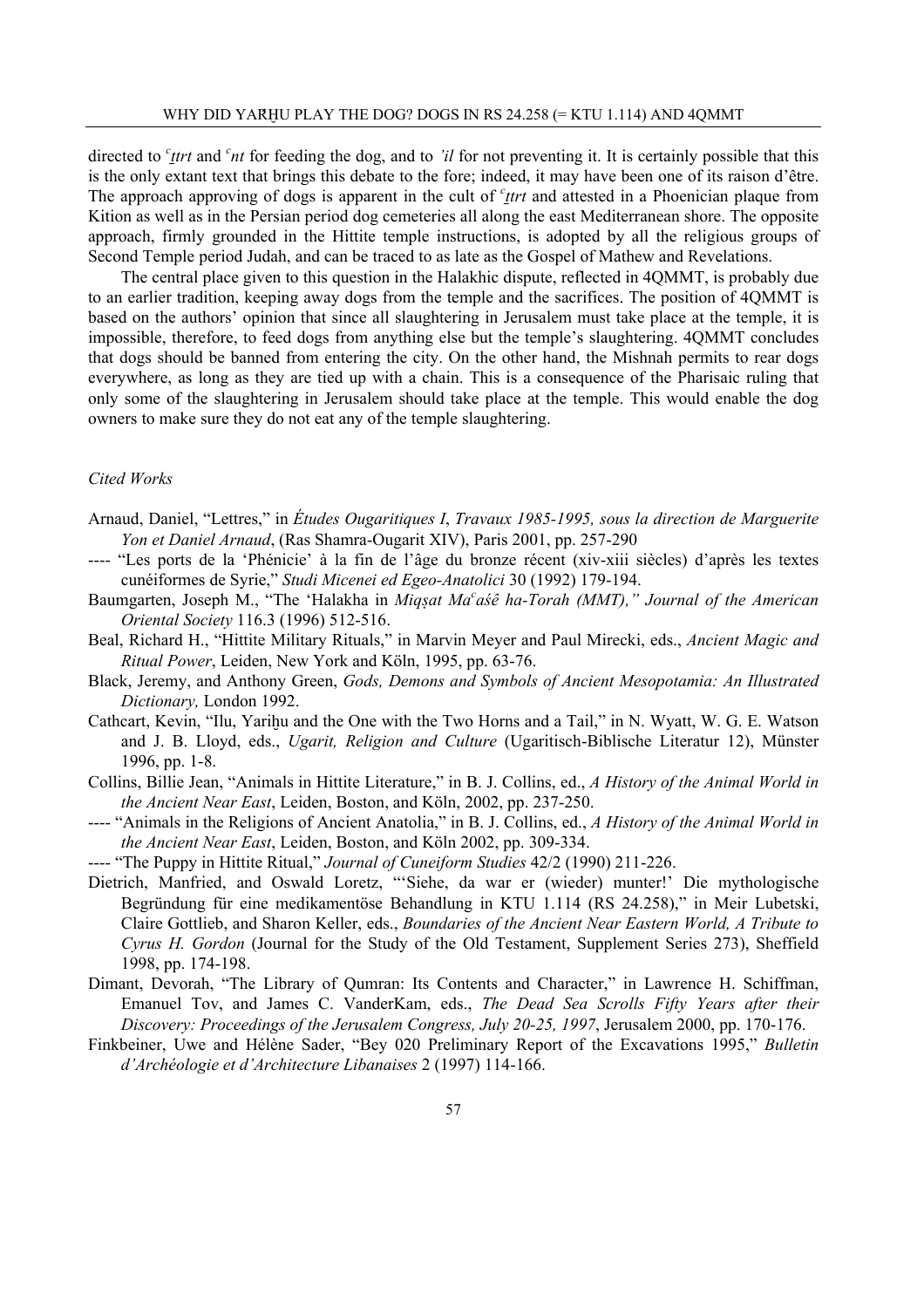directed to *<sup>c</sup>* test and *<sup>c</sup>nt* for feeding the dog, and to *'il* for not preventing it. It is certainly possible that this is the only extant text that brings this debate to the fore; indeed, it may have been one of its raison d'être. The approach approving of dogs is apparent in the cult of <sup>c</sup><sub>Itrt</sub> and attested in a Phoenician plaque from Kition as well as in the Persian period dog cemeteries all along the east Mediterranean shore. The opposite approach, firmly grounded in the Hittite temple instructions, is adopted by all the religious groups of Second Temple period Judah, and can be traced to as late as the Gospel of Mathew and Revelations.

 The central place given to this question in the Halakhic dispute, reflected in 4QMMT, is probably due to an earlier tradition, keeping away dogs from the temple and the sacrifices. The position of 4QMMT is based on the authors' opinion that since all slaughtering in Jerusalem must take place at the temple, it is impossible, therefore, to feed dogs from anything else but the temple's slaughtering. 4QMMT concludes that dogs should be banned from entering the city. On the other hand, the Mishnah permits to rear dogs everywhere, as long as they are tied up with a chain. This is a consequence of the Pharisaic ruling that only some of the slaughtering in Jerusalem should take place at the temple. This would enable the dog owners to make sure they do not eat any of the temple slaughtering.

#### *Cited Works*

- Arnaud, Daniel, "Lettres," in *Études Ougaritiques I*, *Travaux 1985-1995, sous la direction de Marguerite Yon et Daniel Arnaud*, (Ras Shamra-Ougarit XIV), Paris 2001, pp. 257-290
- ---- "Les ports de la 'Phénicie' à la fin de l'âge du bronze récent (xiv-xiii siècles) d'après les textes cunéiformes de Syrie," *Studi Micenei ed Egeo-Anatolici* 30 (1992) 179-194.
- Baumgarten, Joseph M., "The 'Halakha in *Miq§at Ma<sup>c</sup>aśê ha-Torah (MMT)," Journal of the American Oriental Society* 116.3 (1996) 512-516.
- Beal, Richard H., "Hittite Military Rituals," in Marvin Meyer and Paul Mirecki, eds., *Ancient Magic and Ritual Power*, Leiden, New York and Köln, 1995, pp. 63-76.
- Black, Jeremy, and Anthony Green, *Gods, Demons and Symbols of Ancient Mesopotamia: An Illustrated Dictionary,* London 1992.
- Cathcart, Kevin, "Ilu, Yarihu and the One with the Two Horns and a Tail," in N. Wyatt, W. G. E. Watson and J. B. Lloyd, eds., *Ugarit, Religion and Culture* (Ugaritisch-Biblische Literatur 12), Münster 1996, pp. 1-8.
- Collins, Billie Jean, "Animals in Hittite Literature," in B. J. Collins, ed., *A History of the Animal World in the Ancient Near East*, Leiden, Boston, and Köln, 2002, pp. 237-250.
- ---- "Animals in the Religions of Ancient Anatolia," in B. J. Collins, ed., *A History of the Animal World in the Ancient Near East*, Leiden, Boston, and Köln 2002, pp. 309-334.
- ---- "The Puppy in Hittite Ritual," *Journal of Cuneiform Studies* 42/2 (1990) 211-226.
- Dietrich, Manfried, and Oswald Loretz, "'Siehe, da war er (wieder) munter!' Die mythologische Begründung für eine medikamentöse Behandlung in KTU 1.114 (RS 24.258)," in Meir Lubetski, Claire Gottlieb, and Sharon Keller, eds., *Boundaries of the Ancient Near Eastern World, A Tribute to Cyrus H. Gordon* (Journal for the Study of the Old Testament, Supplement Series 273), Sheffield 1998, pp. 174-198.
- Dimant, Devorah, "The Library of Qumran: Its Contents and Character," in Lawrence H. Schiffman, Emanuel Tov, and James C. VanderKam, eds., *The Dead Sea Scrolls Fifty Years after their Discovery: Proceedings of the Jerusalem Congress, July 20-25, 1997*, Jerusalem 2000, pp. 170-176.
- Finkbeiner, Uwe and Hélène Sader, "Bey 020 Preliminary Report of the Excavations 1995," *Bulletin d'Archéologie et d'Architecture Libanaises* 2 (1997) 114-166.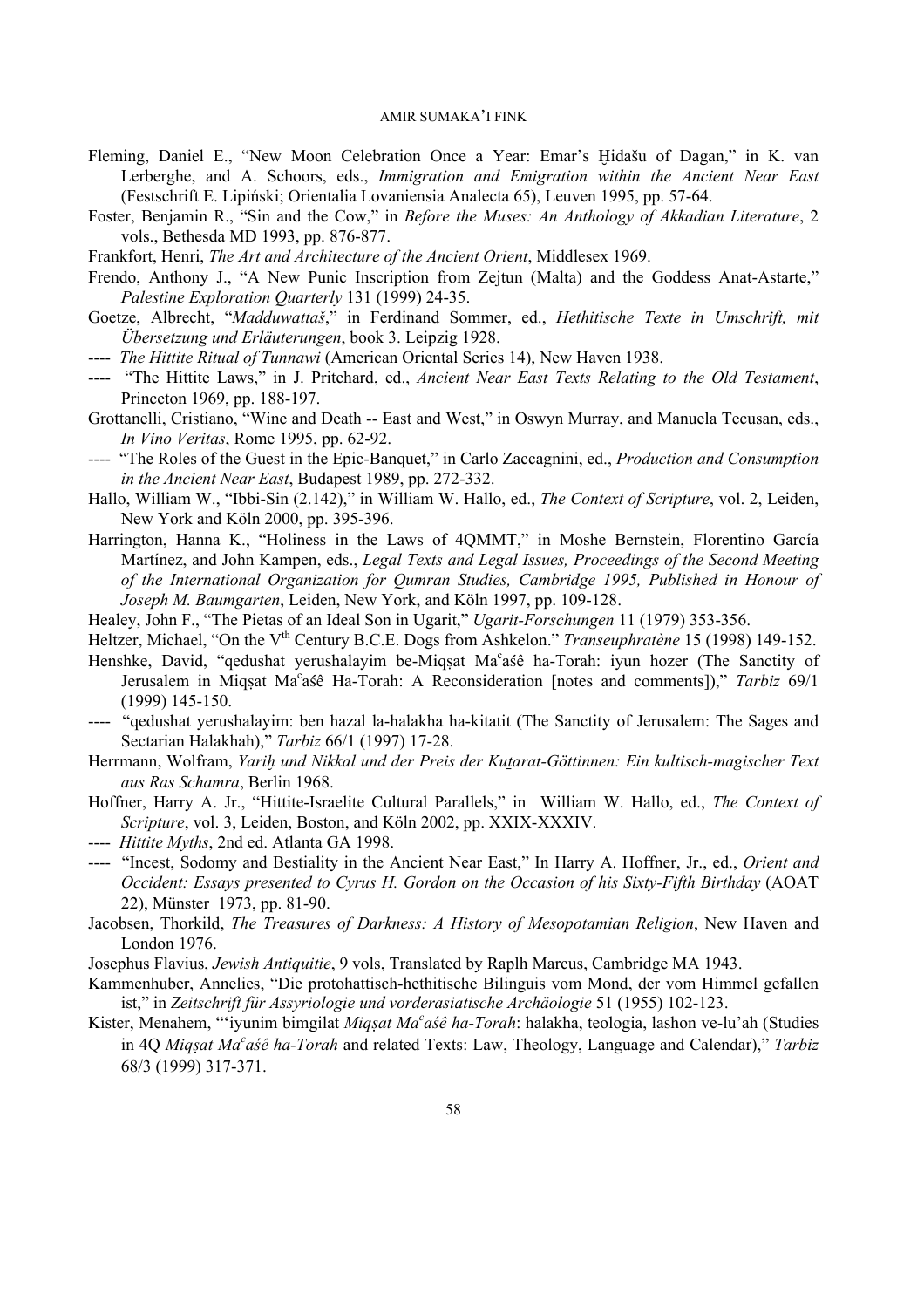- Fleming, Daniel E., "New Moon Celebration Once a Year: Emar's Hidašu of Dagan," in K. van Lerberghe, and A. Schoors, eds., *Immigration and Emigration within the Ancient Near East* (Festschrift E. Lipiński; Orientalia Lovaniensia Analecta 65), Leuven 1995, pp. 57-64.
- Foster, Benjamin R., "Sin and the Cow," in *Before the Muses: An Anthology of Akkadian Literature*, 2 vols., Bethesda MD 1993, pp. 876-877.
- Frankfort, Henri, *The Art and Architecture of the Ancient Orient*, Middlesex 1969.
- Frendo, Anthony J., "A New Punic Inscription from Zejtun (Malta) and the Goddess Anat-Astarte," *Palestine Exploration Quarterly* 131 (1999) 24-35.
- Goetze, Albrecht, "*Madduwattaš*," in Ferdinand Sommer, ed., *Hethitische Texte in Umschrift, mit Übersetzung und Erläuterungen*, book 3. Leipzig 1928.
- ---- *The Hittite Ritual of Tunnawi* (American Oriental Series 14), New Haven 1938.
- ---- "The Hittite Laws," in J. Pritchard, ed., *Ancient Near East Texts Relating to the Old Testament*, Princeton 1969, pp. 188-197.
- Grottanelli, Cristiano, "Wine and Death -- East and West," in Oswyn Murray, and Manuela Tecusan, eds., *In Vino Veritas*, Rome 1995, pp. 62-92.
- ---- "The Roles of the Guest in the Epic-Banquet," in Carlo Zaccagnini, ed., *Production and Consumption in the Ancient Near East*, Budapest 1989, pp. 272-332.
- Hallo, William W., "Ibbi-Sin (2.142)," in William W. Hallo, ed., *The Context of Scripture*, vol. 2, Leiden, New York and Köln 2000, pp. 395-396.
- Harrington, Hanna K., "Holiness in the Laws of 4QMMT," in Moshe Bernstein, Florentino García Martínez, and John Kampen, eds., *Legal Texts and Legal Issues, Proceedings of the Second Meeting of the International Organization for Qumran Studies, Cambridge 1995, Published in Honour of Joseph M. Baumgarten*, Leiden, New York, and Köln 1997, pp. 109-128.
- Healey, John F., "The Pietas of an Ideal Son in Ugarit," *Ugarit-Forschungen* 11 (1979) 353-356.
- Heltzer, Michael, "On the V<sup>th</sup> Century B.C.E. Dogs from Ashkelon." *Transeuphratène* 15 (1998) 149-152.
- Henshke, David, "qedushat yerushalayim be-Miqṣat Ma°aśê ha-Torah: iyun hozer (The Sanctity of Jerusalem in Miqșat Ma<sup>c</sup>aśê Ha-Torah: A Reconsideration [notes and comments])," Tarbiz 69/1 (1999) 145-150.
- ---- "qedushat yerushalayim: ben hazal la-halakha ha-kitatit (The Sanctity of Jerusalem: The Sages and Sectarian Halakhah)," *Tarbiz* 66/1 (1997) 17-28.
- Herrmann, Wolfram, *Yarih und Nikkal und der Preis der Kutarat-Göttinnen: Ein kultisch-magischer Text aus Ras Schamra*, Berlin 1968.
- Hoffner, Harry A. Jr., "Hittite-Israelite Cultural Parallels," in William W. Hallo, ed., *The Context of Scripture*, vol. 3, Leiden, Boston, and Köln 2002, pp. XXIX-XXXIV.
- ---- *Hittite Myths*, 2nd ed. Atlanta GA 1998.
- ---- "Incest, Sodomy and Bestiality in the Ancient Near East," In Harry A. Hoffner, Jr., ed., *Orient and Occident: Essays presented to Cyrus H. Gordon on the Occasion of his Sixty-Fifth Birthday (AOAT* 22), Münster 1973, pp. 81-90.
- Jacobsen, Thorkild, *The Treasures of Darkness: A History of Mesopotamian Religion*, New Haven and London 1976.
- Josephus Flavius, *Jewish Antiquitie*, 9 vols, Translated by Raplh Marcus, Cambridge MA 1943.
- Kammenhuber, Annelies, "Die protohattisch-hethitische Bilinguis vom Mond, der vom Himmel gefallen ist," in *Zeitschrift für Assyriologie und vorderasiatische Archäologie* 51 (1955) 102-123.
- Kister, Menahem, "'iyunim bimgilat *Miq§at Ma<sup>c</sup> aśê ha-Torah*: halakha, teologia, lashon ve-lu'ah (Studies in 4Q *Miq§at Ma<sup>c</sup> aśê ha-Torah* and related Texts: Law, Theology, Language and Calendar)," *Tarbiz* 68/3 (1999) 317-371.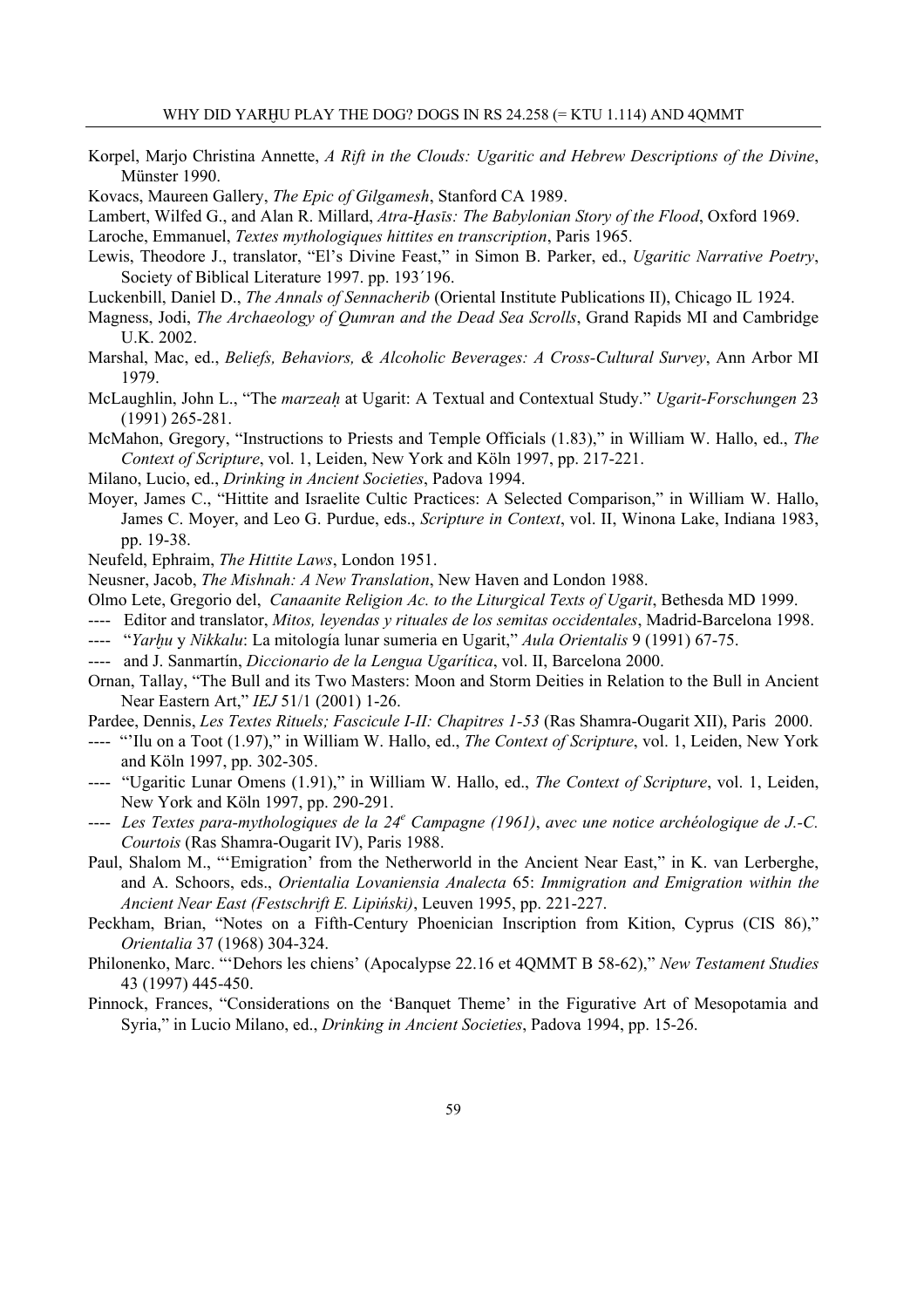- Korpel, Marjo Christina Annette, *A Rift in the Clouds: Ugaritic and Hebrew Descriptions of the Divine*, Münster 1990.
- Kovacs, Maureen Gallery, *The Epic of Gilgamesh*, Stanford CA 1989.

Lambert, Wilfed G., and Alan R. Millard, *Atra-ïas∞s: The Babylonian Story of the Flood*, Oxford 1969.

Laroche, Emmanuel, *Textes mythologiques hittites en transcription*, Paris 1965.

- Lewis, Theodore J., translator, "El's Divine Feast," in Simon B. Parker, ed., *Ugaritic Narrative Poetry*, Society of Biblical Literature 1997. pp. 193´196.
- Luckenbill, Daniel D., *The Annals of Sennacherib* (Oriental Institute Publications II), Chicago IL 1924.
- Magness, Jodi, *The Archaeology of Qumran and the Dead Sea Scrolls*, Grand Rapids MI and Cambridge U.K. 2002.
- Marshal, Mac, ed., *Beliefs, Behaviors, & Alcoholic Beverages: A Cross-Cultural Survey*, Ann Arbor MI 1979.
- McLaughlin, John L., "The *marzeaú* at Ugarit: A Textual and Contextual Study." *Ugarit-Forschungen* 23 (1991) 265-281.

McMahon, Gregory, "Instructions to Priests and Temple Officials (1.83)," in William W. Hallo, ed., *The Context of Scripture*, vol. 1, Leiden, New York and Köln 1997, pp. 217-221.

- Milano, Lucio, ed., *Drinking in Ancient Societies*, Padova 1994.
- Moyer, James C., "Hittite and Israelite Cultic Practices: A Selected Comparison," in William W. Hallo, James C. Moyer, and Leo G. Purdue, eds., *Scripture in Context*, vol. II, Winona Lake, Indiana 1983, pp. 19-38.
- Neufeld, Ephraim, *The Hittite Laws*, London 1951.

Neusner, Jacob, *The Mishnah: A New Translation*, New Haven and London 1988.

- Olmo Lete, Gregorio del, *Canaanite Religion Ac. to the Liturgical Texts of Ugarit*, Bethesda MD 1999.
- ---- Editor and translator, *Mitos, leyendas y rituales de los semitas occidentales*, Madrid-Barcelona 1998.
- ---- "*Yar≠u* y *Nikkalu*: La mitología lunar sumeria en Ugarit," *Aula Orientalis* 9 (1991) 67-75.
- ---- and J. Sanmartín, *Diccionario de la Lengua Ugarítica*, vol. II, Barcelona 2000.
- Ornan, Tallay, "The Bull and its Two Masters: Moon and Storm Deities in Relation to the Bull in Ancient Near Eastern Art," *IEJ* 51/1 (2001) 1-26.
- Pardee, Dennis, *Les Textes Rituels; Fascicule I-II: Chapitres 1-53* (Ras Shamra-Ougarit XII), Paris 2000.
- ---- "'Ilu on a Toot (1.97)," in William W. Hallo, ed., *The Context of Scripture*, vol. 1, Leiden, New York and Köln 1997, pp. 302-305.
- ---- "Ugaritic Lunar Omens (1.91)," in William W. Hallo, ed., *The Context of Scripture*, vol. 1, Leiden, New York and Köln 1997, pp. 290-291.
- ---- *Les Textes para-mythologiques de la 24<sup>e</sup> Campagne (1961)*, *avec une notice archéologique de J.-C. Courtois* (Ras Shamra-Ougarit IV), Paris 1988.
- Paul, Shalom M., "'Emigration' from the Netherworld in the Ancient Near East," in K. van Lerberghe, and A. Schoors, eds., *Orientalia Lovaniensia Analecta* 65: *Immigration and Emigration within the Ancient Near East (Festschrift E. Lipiński)*, Leuven 1995, pp. 221-227.
- Peckham, Brian, "Notes on a Fifth-Century Phoenician Inscription from Kition, Cyprus (CIS 86)," *Orientalia* 37 (1968) 304-324.
- Philonenko, Marc. "'Dehors les chiens' (Apocalypse 22.16 et 4QMMT B 58-62)," *New Testament Studies* 43 (1997) 445-450.
- Pinnock, Frances, "Considerations on the 'Banquet Theme' in the Figurative Art of Mesopotamia and Syria," in Lucio Milano, ed., *Drinking in Ancient Societies*, Padova 1994, pp. 15-26.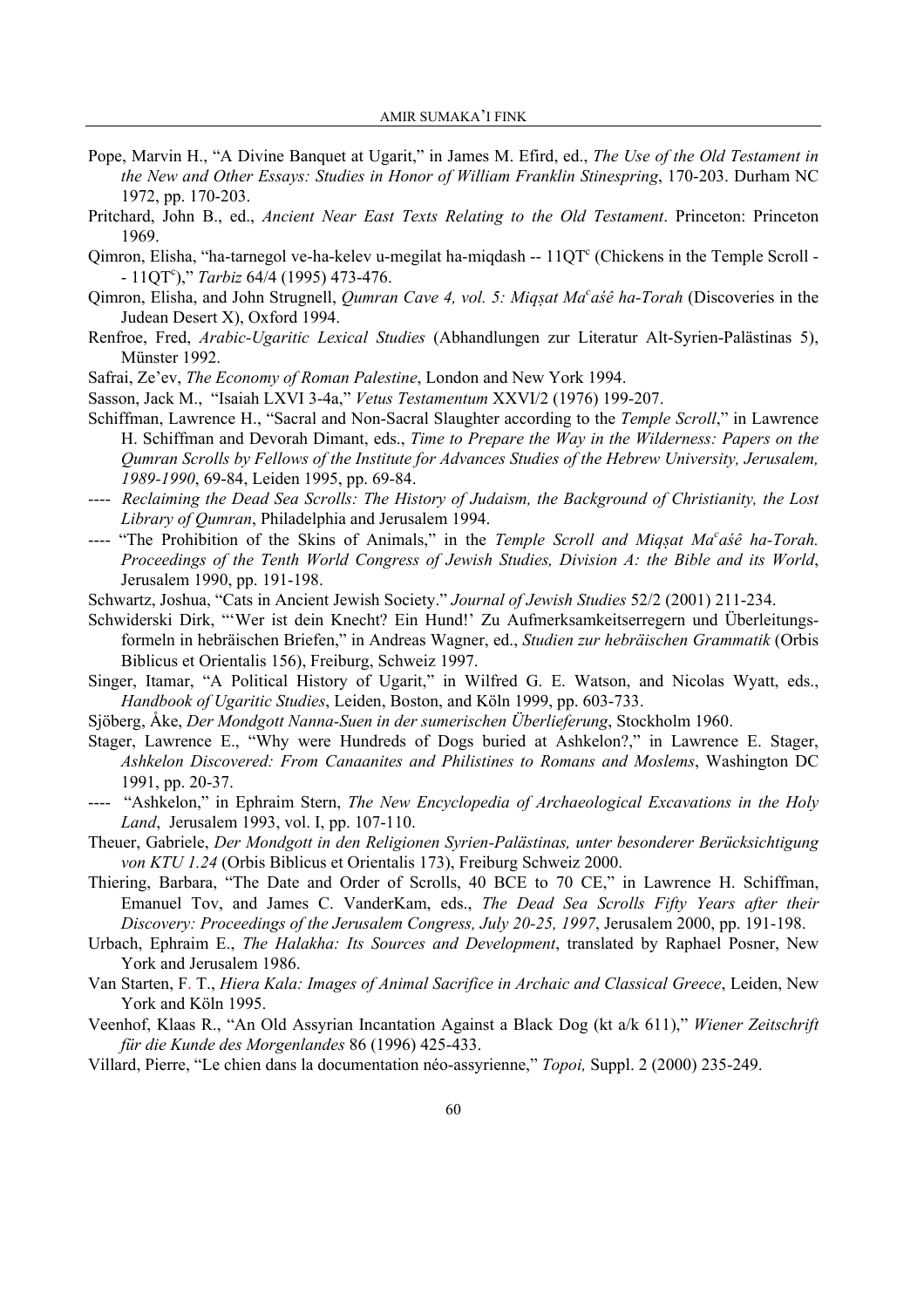- Pope, Marvin H., "A Divine Banquet at Ugarit," in James M. Efird, ed., *The Use of the Old Testament in the New and Other Essays: Studies in Honor of William Franklin Stinespring*, 170-203. Durham NC 1972, pp. 170-203.
- Pritchard, John B., ed., *Ancient Near East Texts Relating to the Old Testament*. Princeton: Princeton 1969.
- Qimron, Elisha, "ha-tarnegol ve-ha-kelev u-megilat ha-miqdash -- 11QT° (Chickens in the Temple Scroll -- 11QT<sup>c</sup> )," *Tarbiz* 64/4 (1995) 473-476.
- Qimron, Elisha, and John Strugnell, *Qumran Cave 4, vol. 5: Miq§at Ma<sup>c</sup> aśê ha-Torah* (Discoveries in the Judean Desert X), Oxford 1994.
- Renfroe, Fred, *Arabic-Ugaritic Lexical Studies* (Abhandlungen zur Literatur Alt-Syrien-Palästinas 5), Münster 1992.
- Safrai, Ze'ev, *The Economy of Roman Palestine*, London and New York 1994.
- Sasson, Jack M., "Isaiah LXVI 3-4a," *Vetus Testamentum* XXVI/2 (1976) 199-207.
- Schiffman, Lawrence H., "Sacral and Non-Sacral Slaughter according to the *Temple Scroll*," in Lawrence H. Schiffman and Devorah Dimant, eds., *Time to Prepare the Way in the Wilderness: Papers on the Qumran Scrolls by Fellows of the Institute for Advances Studies of the Hebrew University, Jerusalem, 1989-1990*, 69-84, Leiden 1995, pp. 69-84.
- ---- *Reclaiming the Dead Sea Scrolls: The History of Judaism, the Background of Christianity, the Lost Library of Qumran*, Philadelphia and Jerusalem 1994.
- ---- "The Prohibition of the Skins of Animals," in the *Temple Scroll and Miq§at Ma<sup>c</sup>asé ha-Torah. Proceedings of the Tenth World Congress of Jewish Studies, Division A: the Bible and its World*, Jerusalem 1990, pp. 191-198.
- Schwartz, Joshua, "Cats in Ancient Jewish Society." *Journal of Jewish Studies* 52/2 (2001) 211-234.
- Schwiderski Dirk, "'Wer ist dein Knecht? Ein Hund!' Zu Aufmerksamkeitserregern und Überleitungsformeln in hebräischen Briefen," in Andreas Wagner, ed., *Studien zur hebräischen Grammatik* (Orbis Biblicus et Orientalis 156), Freiburg, Schweiz 1997.
- Singer, Itamar, "A Political History of Ugarit," in Wilfred G. E. Watson, and Nicolas Wyatt, eds., *Handbook of Ugaritic Studies*, Leiden, Boston, and Köln 1999, pp. 603-733.
- Sjöberg, Åke, *Der Mondgott Nanna-Suen in der sumerischen Überlieferung*, Stockholm 1960.
- Stager, Lawrence E., "Why were Hundreds of Dogs buried at Ashkelon?," in Lawrence E. Stager, *Ashkelon Discovered: From Canaanites and Philistines to Romans and Moslems*, Washington DC 1991, pp. 20-37.
- ---- "Ashkelon," in Ephraim Stern, *The New Encyclopedia of Archaeological Excavations in the Holy Land*, Jerusalem 1993, vol. I, pp. 107-110.
- Theuer, Gabriele, *Der Mondgott in den Religionen Syrien-Palästinas, unter besonderer Berücksichtigung von KTU 1.24* (Orbis Biblicus et Orientalis 173), Freiburg Schweiz 2000.
- Thiering, Barbara, "The Date and Order of Scrolls, 40 BCE to 70 CE," in Lawrence H. Schiffman, Emanuel Tov, and James C. VanderKam, eds., *The Dead Sea Scrolls Fifty Years after their Discovery: Proceedings of the Jerusalem Congress, July 20-25, 1997*, Jerusalem 2000, pp. 191-198.
- Urbach, Ephraim E., *The Halakha: Its Sources and Development*, translated by Raphael Posner, New York and Jerusalem 1986.
- Van Starten, F. T., *Hiera Kala: Images of Animal Sacrifice in Archaic and Classical Greece*, Leiden, New York and Köln 1995.
- Veenhof, Klaas R., "An Old Assyrian Incantation Against a Black Dog (kt a/k 611)," *Wiener Zeitschrift für die Kunde des Morgenlandes* 86 (1996) 425-433.
- Villard, Pierre, "Le chien dans la documentation néo-assyrienne," *Topoi,* Suppl. 2 (2000) 235-249.